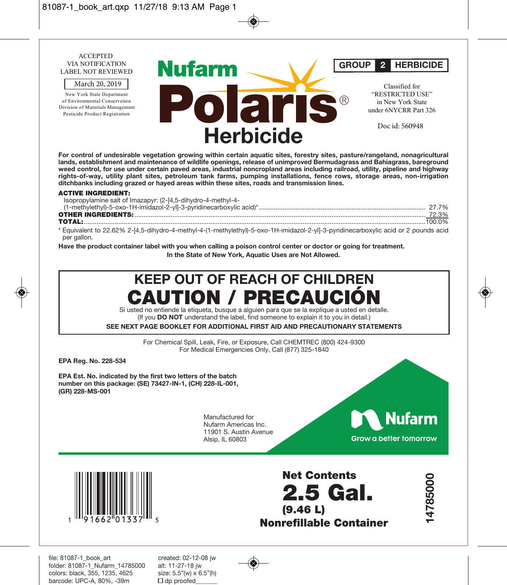

**For control of undesirable vegetation growing within certain aquatic sites, forestry sites, pasture/rangeland, nonagricultural lands, establishment and maintenance of wildlife openings, release of unimproved Bermudagrass and Bahiagrass, bareground weed control, for use under certain paved areas, industrial noncropland areas including railroad, utility, pipeline and highway rights-of-way, utility plant sites, petroleum tank farms, pumping installations, fence rows, storage areas, non-irrigation ditchbanks including grazed or hayed areas within these sites, roads and transmission lines.** 

#### **ACTIVE INGREDIENT:**

| Isopropylamine salt of Imazapyr: (2-[4,5-dihydro-4-methyl-4-                                                                        |  |
|-------------------------------------------------------------------------------------------------------------------------------------|--|
|                                                                                                                                     |  |
|                                                                                                                                     |  |
|                                                                                                                                     |  |
| * Equivalent to 22.62% 2-[4,5-dihydro-4-methyl-4-(1-methylethyl)-5-oxo-1H-imidazol-2-yl]-3-pyridinecarboxylic acid or 2 pounds acid |  |
| per gallon.                                                                                                                         |  |

**Have the product container label with you when calling a poison control center or doctor or going for treatment. In the State of New York, Aquatic Uses are Not Allowed.**

# **KEEP OUT OF REACH OF CHILDREN PRECA**

Si usted no entiende la etiqueta, busque a alguien para que se la explique a usted en detalle. (If you **DO NOT** understand the label, find someone to explain it to you in detail.)

**SEE NEXT PAGE BOOKLET FOR ADDITIONAL FIRST AID AND PRECAUTIONARY STATEMENTS**

For Chemical Spill, Leak, Fire, or Exposure, Call CHEMTREC (800) 424-9300 For Medical Emergencies Only, Call (877) 325-1840

**EPA Reg. No. 228-534** 

**EPA Est. No. indicated by the first two letters of the batch number on this package: (SE) 73427-IN-1, (CH) 228-IL-001, (GR) 228-MS-001**

> Manufactured for Nufarm Americas Inc. 11901 S. Austin Avenue Alsip, IL 60803





**Net Contents 2.5 Gal. (9.46 L) Nonrefillable Container**

**14785000**  14785000

file: 81087-1\_book\_art created: 02-12-08 jw folder: 81087-1\_Nufarm\_14785000 alt: 11-27-18 jw colors: black, 355, 1235, 4625 size: 5.5"(w) x barcode: UPC-A, 80%, -39m  $\Box$  dp proofed barcode: UPC-A, 80%, -39m

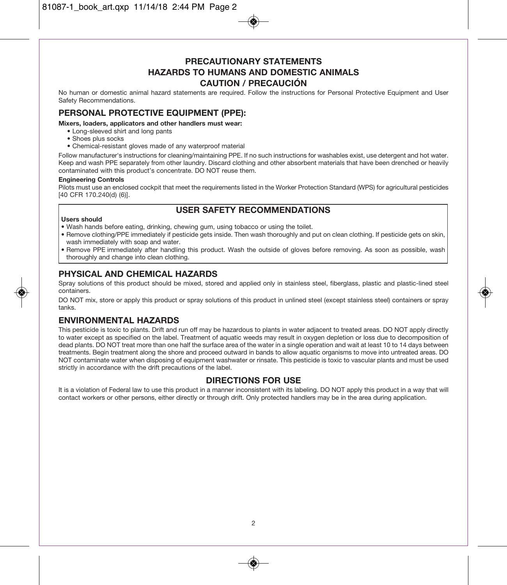### **PRECAUTIONARY STATEMENTS HAZARDS TO HUMANS AND DOMESTIC ANIMALS CAUTION / PRECAUCIÓN**

No human or domestic animal hazard statements are required. Follow the instructions for Personal Protective Equipment and User Safety Recommendations.

### **PERSONAL PROTECTIVE EQUIPMENT (PPE):**

**Mixers, loaders, applicators and other handlers must wear:** 

- Long-sleeved shirt and long pants
- Shoes plus socks
- Chemical-resistant gloves made of any waterproof material

Follow manufacturer's instructions for cleaning/maintaining PPE. If no such instructions for washables exist, use detergent and hot water. Keep and wash PPE separately from other laundry. Discard clothing and other absorbent materials that have been drenched or heavily contaminated with this product's concentrate. DO NOT reuse them.

#### **Engineering Controls**

Pilots must use an enclosed cockpit that meet the requirements listed in the Worker Protection Standard (WPS) for agricultural pesticides [40 CFR 170.240(d) (6)].

### **USER SAFETY RECOMMENDATIONS**

#### **Users should**

- Wash hands before eating, drinking, chewing gum, using tobacco or using the toilet.
- Remove clothing/PPE immediately if pesticide gets inside. Then wash thoroughly and put on clean clothing. If pesticide gets on skin, wash immediately with soap and water.
- Remove PPE immediately after handling this product. Wash the outside of gloves before removing. As soon as possible, wash thoroughly and change into clean clothing.

### **PHYSICAL AND CHEMICAL HAZARDS**

Spray solutions of this product should be mixed, stored and applied only in stainless steel, fiberglass, plastic and plastic-lined steel containers.

DO NOT mix, store or apply this product or spray solutions of this product in unlined steel (except stainless steel) containers or spray tanks.

### **ENVIRONMENTAL HAZARDS**

This pesticide is toxic to plants. Drift and run off may be hazardous to plants in water adjacent to treated areas. DO NOT apply directly to water except as specified on the label. Treatment of aquatic weeds may result in oxygen depletion or loss due to decomposition of dead plants. DO NOT treat more than one half the surface area of the water in a single operation and wait at least 10 to 14 days between treatments. Begin treatment along the shore and proceed outward in bands to allow aquatic organisms to move into untreated areas. DO NOT contaminate water when disposing of equipment washwater or rinsate. This pesticide is toxic to vascular plants and must be used strictly in accordance with the drift precautions of the label.

### **DIRECTIONS FOR USE**

It is a violation of Federal law to use this product in a manner inconsistent with its labeling. DO NOT apply this product in a way that will contact workers or other persons, either directly or through drift. Only protected handlers may be in the area during application.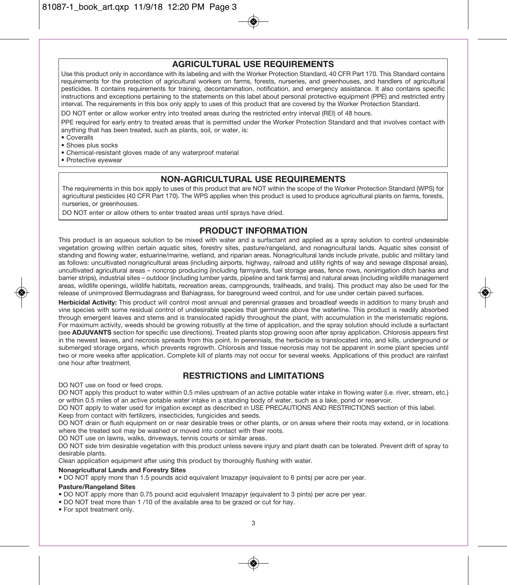### **AGRICULTURAL USE REQUIREMENTS**

Use this product only in accordance with its labeling and with the Worker Protection Standard, 40 CFR Part 170. This Standard contains requirements for the protection of agricultural workers on farms, forests, nurseries, and greenhouses, and handlers of agricultural pesticides. It contains requirements for training, decontamination, notification, and emergency assistance. It also contains specific instructions and exceptions pertaining to the statements on this label about personal protective equipment (PPE) and restricted entry interval. The requirements in this box only apply to uses of this product that are covered by the Worker Protection Standard.

DO NOT enter or allow worker entry into treated areas during the restricted entry interval (REI) of 48 hours.

PPE required for early entry to treated areas that is permitted under the Worker Protection Standard and that involves contact with anything that has been treated, such as plants, soil, or water, is:

• Coveralls

• Shoes plus socks

• Chemical-resistant gloves made of any waterproof material

• Protective eyewear

### **NON-AGRICULTURAL USE REQUIREMENTS**

The requirements in this box apply to uses of this product that are NOT within the scope of the Worker Protection Standard (WPS) for agricultural pesticides (40 CFR Part 170). The WPS applies when this product is used to produce agricultural plants on farms, forests, nurseries, or greenhouses.

DO NOT enter or allow others to enter treated areas until sprays have dried.

### **PRODUCT INFORMATION**

This product is an aqueous solution to be mixed with water and a surfactant and applied as a spray solution to control undesirable vegetation growing within certain aquatic sites, forestry sites, pasture/rangeland, and nonagricultural lands. Aquatic sites consist of standing and flowing water, estuarine/marine, wetland, and riparian areas. Nonagricultural lands include private, public and military land as follows: uncultivated nonagricultural areas (including airports, highway, railroad and utility rights of way and sewage disposal areas), uncultivated agricultural areas – noncrop producing (including farmyards, fuel storage areas, fence rows, nonirrigation ditch banks and barrier strips), industrial sites – outdoor (including lumber yards, pipeline and tank farms) and natural areas (including wildlife management areas, wildlife openings, wildlife habitats, recreation areas, campgrounds, trailheads, and trails). This product may also be used for the release of unimproved Bermudagrass and Bahiagrass, for bareground weed control, and for use under certain paved surfaces.

**Herbicidal Activity:** This product will control most annual and perennial grasses and broadleaf weeds in addition to many brush and vine species with some residual control of undesirable species that germinate above the waterline. This product is readily absorbed through emergent leaves and stems and is translocated rapidly throughout the plant, with accumulation in the meristematic regions. For maximum activity, weeds should be growing robustly at the time of application, and the spray solution should include a surfactant (see **ADJUVANTS** section for specific use directions). Treated plants stop growing soon after spray application. Chlorosis appears first in the newest leaves, and necrosis spreads from this point. In perennials, the herbicide is translocated into, and kills, underground or submerged storage organs, which prevents regrowth. Chlorosis and tissue necrosis may not be apparent in some plant species until two or more weeks after application. Complete kill of plants may not occur for several weeks. Applications of this product are rainfast one hour after treatment.

### **RESTRICTIONS and LIMITATIONS**

DO NOT use on food or feed crops.

DO NOT apply this product to water within 0.5 miles upstream of an active potable water intake in flowing water (i.e. river, stream, etc.) or within 0.5 miles of an active potable water intake in a standing body of water, such as a lake, pond or reservoir.

DO NOT apply to water used for irrigation except as described in USE PRECAUTIONS AND RESTRICTIONS section of this label. Keep from contact with fertilizers, insecticides, fungicides and seeds.

DO NOT drain or flush equipment on or near desirable trees or other plants, or on areas where their roots may extend, or in locations where the treated soil may be washed or moved into contact with their roots.

DO NOT use on lawns, walks, driveways, tennis courts or similar areas.

DO NOT side trim desirable vegetation with this product unless severe injury and plant death can be tolerated. Prevent drift of spray to desirable plants.

Clean application equipment after using this product by thoroughly flushing with water.

#### **Nonagricultural Lands and Forestry Sites**

• DO NOT apply more than 1.5 pounds acid equivalent Imazapyr (equivalent to 6 pints) per acre per year.

**Pasture/Rangeland Sites** 

• DO NOT apply more than 0.75 pound acid equivalent Imazapyr (equivalent to 3 pints) per acre per year.

- DO NOT treat more than 1 /10 of the available area to be grazed or cut for hay.
- For spot treatment only.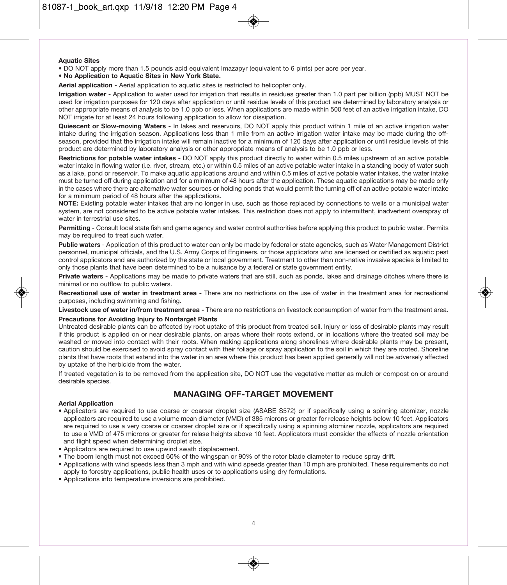#### **Aquatic Sites**

• DO NOT apply more than 1.5 pounds acid equivalent Imazapyr (equivalent to 6 pints) per acre per year.

• **No Application to Aquatic Sites in New York State.** 

**Aerial application** - Aerial application to aquatic sites is restricted to helicopter only.

**Irrigation water** - Application to water used for irrigation that results in residues greater than 1.0 part per billion (ppb) MUST NOT be used for irrigation purposes for 120 days after application or until residue levels of this product are determined by laboratory analysis or other appropriate means of analysis to be 1.0 ppb or less. When applications are made within 500 feet of an active irrigation intake, DO NOT irrigate for at least 24 hours following application to allow for dissipation.

**Quiescent or Slow-moving Waters -** In lakes and reservoirs, DO NOT apply this product within 1 mile of an active irrigation water intake during the irrigation season. Applications less than 1 mile from an active irrigation water intake may be made during the offseason, provided that the irrigation intake will remain inactive for a minimum of 120 days after application or until residue levels of this product are determined by laboratory analysis or other appropriate means of analysis to be 1.0 ppb or less.

**Restrictions for potable water intakes -** DO NOT apply this product directly to water within 0.5 miles upstream of an active potable water intake in flowing water (i.e. river, stream, etc.) or within 0.5 miles of an active potable water intake in a standing body of water such as a lake, pond or reservoir. To make aquatic applications around and within 0.5 miles of active potable water intakes, the water intake must be turned off during application and for a minimum of 48 hours after the application. These aquatic applications may be made only in the cases where there are alternative water sources or holding ponds that would permit the turning off of an active potable water intake for a minimum period of 48 hours after the applications.

**NOTE:** Existing potable water intakes that are no longer in use, such as those replaced by connections to wells or a municipal water system, are not considered to be active potable water intakes. This restriction does not apply to intermittent, inadvertent overspray of water in terrestrial use sites.

**Permitting** - Consult local state fish and game agency and water control authorities before applying this product to public water. Permits may be required to treat such water.

**Public waters** - Application of this product to water can only be made by federal or state agencies, such as Water Management District personnel, municipal officials, and the U.S. Army Corps of Engineers, or those applicators who are licensed or certified as aquatic pest control applicators and are authorized by the state or local government. Treatment to other than non-native invasive species is limited to only those plants that have been determined to be a nuisance by a federal or state government entity.

**Private waters** - Applications may be made to private waters that are still, such as ponds, lakes and drainage ditches where there is minimal or no outflow to public waters.

**Recreational use of water in treatment area -** There are no restrictions on the use of water in the treatment area for recreational purposes, including swimming and fishing.

**Livestock use of water in/from treatment area -** There are no restrictions on livestock consumption of water from the treatment area.

#### **Precautions for Avoiding Injury to Nontarget Plants**

Untreated desirable plants can be affected by root uptake of this product from treated soil. Injury or loss of desirable plants may result if this product is applied on or near desirable plants, on areas where their roots extend, or in locations where the treated soil may be washed or moved into contact with their roots. When making applications along shorelines where desirable plants may be present, caution should be exercised to avoid spray contact with their foliage or spray application to the soil in which they are rooted. Shoreline plants that have roots that extend into the water in an area where this product has been applied generally will not be adversely affected by uptake of the herbicide from the water.

If treated vegetation is to be removed from the application site, DO NOT use the vegetative matter as mulch or compost on or around desirable species.

### **MANAGING OFF-TARGET MOVEMENT**

#### **Aerial Application**

- Applicators are required to use coarse or coarser droplet size (ASABE S572) or if specifically using a spinning atomizer, nozzle applicators are required to use a volume mean diameter (VMD) of 385 microns or greater for release heights below 10 feet. Applicators are required to use a very coarse or coarser droplet size or if specifically using a spinning atomizer nozzle, applicators are required to use a VMD of 475 microns or greater for relase heights above 10 feet. Applicators must consider the effects of nozzle orientation and flight speed when determining droplet size.
- Applicators are required to use upwind swath displacement.
- The boom length must not exceed 60% of the wingspan or 90% of the rotor blade diameter to reduce spray drift.
- Applications with wind speeds less than 3 mph and with wind speeds greater than 10 mph are prohibited. These requirements do not apply to forestry applications, public health uses or to applications using dry formulations.
- Applications into temperature inversions are prohibited.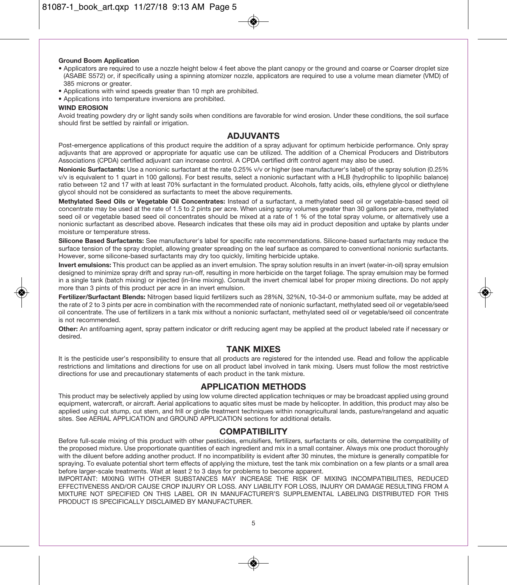#### **Ground Boom Application**

- Applicators are required to use a nozzle height below 4 feet above the plant canopy or the ground and coarse or Coarser droplet size (ASABE S572) or, if specifically using a spinning atomizer nozzle, applicators are required to use a volume mean diameter (VMD) of 385 microns or greater.
- Applications with wind speeds greater than 10 mph are prohibited.
- Applications into temperature inversions are prohibited.

#### **WIND EROSION**

Avoid treating powdery dry or light sandy soils when conditions are favorable for wind erosion. Under these conditions, the soil surface should first be settled by rainfall or irrigation.

### **ADJUVANTS**

Post-emergence applications of this product require the addition of a spray adjuvant for optimum herbicide performance. Only spray adjuvants that are approved or appropriate for aquatic use can be utilized. The addition of a Chemical Producers and Distributors Associations (CPDA) certified adjuvant can increase control. A CPDA certified drift control agent may also be used.

**Nonionic Surfactants:** Use a nonionic surfactant at the rate 0.25% v/v or higher (see manufacturer's label) of the spray solution (0.25% v/v is equivalent to 1 quart in 100 gallons). For best results, select a nonionic surfactant with a HLB (hydrophilic to lipophilic balance) ratio between 12 and 17 with at least 70% surfactant in the formulated product. Alcohols, fatty acids, oils, ethylene glycol or diethylene glycol should not be considered as surfactants to meet the above requirements.

**Methylated Seed Oils or Vegetable Oil Concentrates:** Instead of a surfactant, a methylated seed oil or vegetable-based seed oil concentrate may be used at the rate of 1.5 to 2 pints per acre. When using spray volumes greater than 30 gallons per acre, methylated seed oil or vegetable based seed oil concentrates should be mixed at a rate of 1 % of the total spray volume, or alternatively use a nonionic surfactant as described above. Research indicates that these oils may aid in product deposition and uptake by plants under moisture or temperature stress.

**Silicone Based Surfactants:** See manufacturer's label for specific rate recommendations. Silicone-based surfactants may reduce the surface tension of the spray droplet, allowing greater spreading on the leaf surface as compared to conventional nonionic surfactants. However, some silicone-based surfactants may dry too quickly, limiting herbicide uptake.

**Invert emulsions:** This product can be applied as an invert emulsion. The spray solution results in an invert (water-in-oil) spray emulsion designed to minimize spray drift and spray run-off, resulting in more herbicide on the target foliage. The spray emulsion may be formed in a single tank (batch mixing) or injected (in-line mixing). Consult the invert chemical label for proper mixing directions. Do not apply more than 3 pints of this product per acre in an invert emulsion.

**Fertilizer/Surfactant Blends:** Nitrogen based liquid fertilizers such as 28%N, 32%N, 10-34-0 or ammonium sulfate, may be added at the rate of 2 to 3 pints per acre in combination with the recommended rate of nonionic surfactant, methylated seed oil or vegetable/seed oil concentrate. The use of fertilizers in a tank mix without a nonionic surfactant, methylated seed oil or vegetable/seed oil concentrate is not recommended.

**Other:** An antifoaming agent, spray pattern indicator or drift reducing agent may be applied at the product labeled rate if necessary or desired.

#### **TANK MIXES**

It is the pesticide user's responsibility to ensure that all products are registered for the intended use. Read and follow the applicable restrictions and limitations and directions for use on all product label involved in tank mixing. Users must follow the most restrictive directions for use and precautionary statements of each product in the tank mixture.

### **APPLICATION METHODS**

This product may be selectively applied by using low volume directed application techniques or may be broadcast applied using ground equipment, watercraft, or aircraft. Aerial applications to aquatic sites must be made by helicopter. In addition, this product may also be applied using cut stump, cut stem, and frill or girdle treatment techniques within nonagricultural lands, pasture/rangeland and aquatic sites. See AERIAL APPLICATION and GROUND APPLICATION sections for additional details.

#### **COMPATIBILITY**

Before full-scale mixing of this product with other pesticides, emulsifiers, fertilizers, surfactants or oils, determine the compatibility of the proposed mixture. Use proportionate quantities of each ingredient and mix in a small container. Always mix one product thoroughly with the diluent before adding another product. If no incompatibility is evident after 30 minutes, the mixture is generally compatible for spraying. To evaluate potential short term effects of applying the mixture, test the tank mix combination on a few plants or a small area before larger-scale treatments. Wait at least 2 to 3 days for problems to become apparent.

IMPORTANT: MIXING WITH OTHER SUBSTANCES MAY INCREASE THE RISK OF MIXING INCOMPATIBILITIES, REDUCED EFFECTIVENESS AND/OR CAUSE CROP INJURY OR LOSS. ANY LIABILITY FOR LOSS, INJURY OR DAMAGE RESULTING FROM A MIXTURE NOT SPECIFIED ON THIS LABEL OR IN MANUFACTURER'S SUPPLEMENTAL LABELING DISTRIBUTED FOR THIS PRODUCT IS SPECIFICALLY DISCLAIMED BY MANUFACTURER.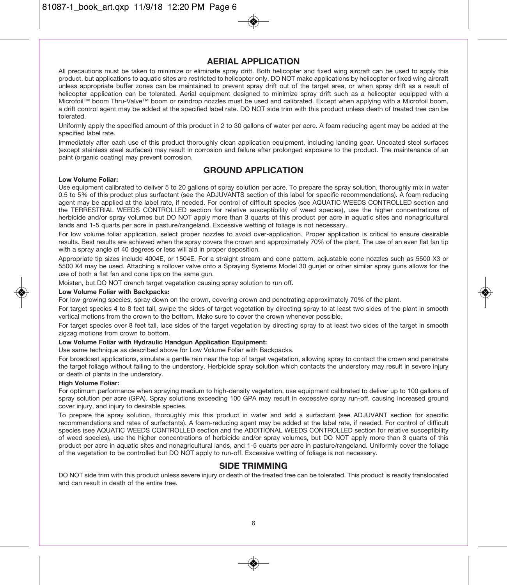### **AERIAL APPLICATION**

All precautions must be taken to minimize or eliminate spray drift. Both helicopter and fixed wing aircraft can be used to apply this product, but applications to aquatic sites are restricted to helicopter only. DO NOT make applications by helicopter or fixed wing aircraft unless appropriate buffer zones can be maintained to prevent spray drift out of the target area, or when spray drift as a result of helicopter application can be tolerated. Aerial equipment designed to minimize spray drift such as a helicopter equipped with a Microfoil™ boom Thru-Valve™ boom or raindrop nozzles must be used and calibrated. Except when applying with a Microfoil boom, a drift control agent may be added at the specified label rate. DO NOT side trim with this product unless death of treated tree can be tolerated.

Uniformly apply the specified amount of this product in 2 to 30 gallons of water per acre. A foam reducing agent may be added at the specified label rate.

Immediately after each use of this product thoroughly clean application equipment, including landing gear. Uncoated steel surfaces (except stainless steel surfaces) may result in corrosion and failure after prolonged exposure to the product. The maintenance of an paint (organic coating) may prevent corrosion.

### **GROUND APPLICATION**

#### **Low Volume Foliar:**

Use equipment calibrated to deliver 5 to 20 gallons of spray solution per acre. To prepare the spray solution, thoroughly mix in water 0.5 to 5% of this product plus surfactant (see the ADJUVANTS section of this label for specific recommendations). A foam reducing agent may be applied at the label rate, if needed. For control of difficult species (see AQUATIC WEEDS CONTROLLED section and the TERRESTRIAL WEEDS CONTROLLED section for relative susceptibility of weed species), use the higher concentrations of herbicide and/or spray volumes but DO NOT apply more than 3 quarts of this product per acre in aquatic sites and nonagricultural lands and 1-5 quarts per acre in pasture/rangeland. Excessive wetting of foliage is not necessary.

For low volume foliar application, select proper nozzles to avoid over-application. Proper application is critical to ensure desirable results. Best results are achieved when the spray covers the crown and approximately 70% of the plant. The use of an even flat fan tip with a spray angle of 40 degrees or less will aid in proper deposition.

Appropriate tip sizes include 4004E, or 1504E. For a straight stream and cone pattern, adjustable cone nozzles such as 5500 X3 or 5500 X4 may be used. Attaching a rollover valve onto a Spraying Systems Model 30 gunjet or other similar spray guns allows for the use of both a flat fan and cone tips on the same gun.

Moisten, but DO NOT drench target vegetation causing spray solution to run off.

#### **Low Volume Foliar with Backpacks:**

For low-growing species, spray down on the crown, covering crown and penetrating approximately 70% of the plant.

For target species 4 to 8 feet tall, swipe the sides of target vegetation by directing spray to at least two sides of the plant in smooth vertical motions from the crown to the bottom. Make sure to cover the crown whenever possible.

For target species over 8 feet tall, lace sides of the target vegetation by directing spray to at least two sides of the target in smooth zigzag motions from crown to bottom.

#### **Low Volume Foliar with Hydraulic Handgun Application Equipment:**

Use same technique as described above for Low Volume Foliar with Backpacks.

For broadcast applications, simulate a gentle rain near the top of target vegetation, allowing spray to contact the crown and penetrate the target foliage without falling to the understory. Herbicide spray solution which contacts the understory may result in severe injury or death of plants in the understory.

#### **High Volume Foliar:**

For optimum performance when spraying medium to high-density vegetation, use equipment calibrated to deliver up to 100 gallons of spray solution per acre (GPA). Spray solutions exceeding 100 GPA may result in excessive spray run-off, causing increased ground cover injury, and injury to desirable species.

To prepare the spray solution, thoroughly mix this product in water and add a surfactant (see ADJUVANT section for specific recommendations and rates of surfactants). A foam-reducing agent may be added at the label rate, if needed. For control of difficult species (see AQUATIC WEEDS CONTROLLED section and the ADDITIONAL WEEDS CONTROLLED section for relative susceptibility of weed species), use the higher concentrations of herbicide and/or spray volumes, but DO NOT apply more than 3 quarts of this product per acre in aquatic sites and nonagricultural lands, and 1-5 quarts per acre in pasture/rangeland. Uniformly cover the foliage of the vegetation to be controlled but DO NOT apply to run-off. Excessive wetting of foliage is not necessary.

#### **SIDE TRIMMING**

DO NOT side trim with this product unless severe injury or death of the treated tree can be tolerated. This product is readily translocated and can result in death of the entire tree.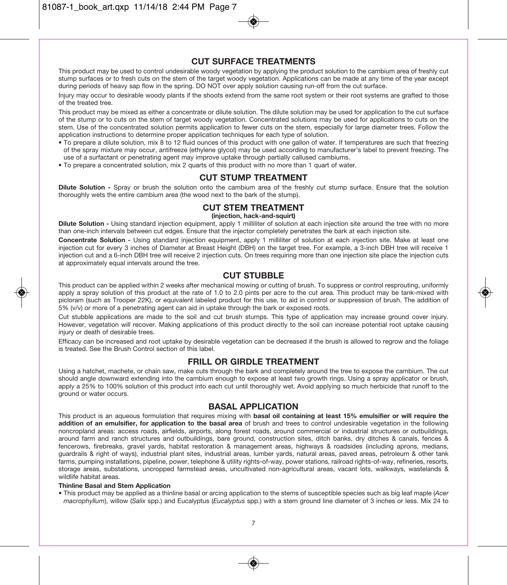### **CUT SURFACE TREATMENTS**

This product may be used to control undesirable woody vegetation by applying the product solution to the cambium area of freshly cut stump surfaces or to fresh cuts on the stem of the target woody vegetation. Applications can be made at any time of the year except during periods of heavy sap flow in the spring. DO NOT over apply solution causing run-off from the cut surface.

Injury may occur to desirable woody plants if the shoots extend from the same root system or their root systems are grafted to those of the treated tree.

This product may be mixed as either a concentrate or dilute solution. The dilute solution may be used for application to the cut surface of the stump or to cuts on the stem of target woody vegetation. Concentrated solutions may be used for applications to cuts on the stem. Use of the concentrated solution permits application to fewer cuts on the stem, especially for large diameter trees. Follow the application instructions to determine proper application techniques for each type of solution.

- To prepare a dilute solution, mix 8 to 12 fluid ounces of this product with one gallon of water. If temperatures are such that freezing of the spray mixture may occur, antifreeze (ethylene glycol) may be used according to manufacturer's label to prevent freezing. The use of a surfactant or penetrating agent may improve uptake through partially callused cambiums.
- To prepare a concentrated solution, mix 2 quarts of this product with no more than 1 quart of water.

### **CUT STUMP TREATMENT**

**Dilute Solution -** Spray or brush the solution onto the cambium area of the freshly cut stump surface. Ensure that the solution thoroughly wets the entire cambium area (the wood next to the bark of the stump).

### **CUT STEM TREATMENT**

**(injection, hack-and-squirt)** 

**Dilute Solution -** Using standard injection equipment, apply 1 milliliter of solution at each injection site around the tree with no more than one-inch intervals between cut edges. Ensure that the injector completely penetrates the bark at each injection site.

**Concentrate Solution -** Using standard injection equipment, apply 1 milliliter of solution at each injection site. Make at least one injection cut for every 3 inches of Diameter at Breast Height (DBH) on the target tree. For example, a 3-inch DBH tree will receive 1 injection cut and a 6-inch DBH tree will receive 2 injection cuts. On trees requiring more than one injection site place the injection cuts at approximately equal intervals around the tree.

### **CUT STUBBLE**

This product can be applied within 2 weeks after mechanical mowing or cutting of brush. To suppress or control resprouting, uniformly apply a spray solution of this product at the rate of 1.0 to 2.0 pints per acre to the cut area. This product may be tank-mixed with picloram (such as Trooper 22K), or equivalent labeled product for this use, to aid in control or suppression of brush. The addition of 5% (v/v) or more of a penetrating agent can aid in uptake through the bark or exposed roots.

Cut stubble applications are made to the soil and cut brush stumps. This type of application may increase ground cover injury. However, vegetation will recover. Making applications of this product directly to the soil can increase potential root uptake causing injury or death of desirable trees.

Efficacy can be increased and root uptake by desirable vegetation can be decreased if the brush is allowed to regrow and the foliage is treated. See the Brush Control section of this label.

### **FRILL OR GIRDLE TREATMENT**

Using a hatchet, machete, or chain saw, make cuts through the bark and completely around the tree to expose the cambium. The cut should angle downward extending into the cambium enough to expose at least two growth rings. Using a spray applicator or brush, apply a 25% to 100% solution of this product into each cut until thoroughly wet. Avoid applying so much herbicide that runoff to the ground or water occurs.

#### **BASAL APPLICATION**

This product is an aqueous formulation that requires mixing with **basal oil containing at least 15% emulsifier or will require the addition of an emulsifier, for application to the basal area** of brush and trees to control undesirable vegetation in the following noncropland areas: access roads, airfields, airports, along forest roads, around commercial or industrial structures or outbuildings, around farm and ranch structures and outbuildings, bare ground, construction sites, ditch banks, dry ditches & canals, fences & fencerows, firebreaks, gravel yards, habitat restoration & management areas, highways & roadsides (including aprons, medians, guardrails & right of ways), industrial plant sites, industrial areas, lumber yards, natural areas, paved areas, petroleum & other tank farms, pumping installations, pipeline, power, telephone & utility rights-of-way, power stations, railroad rights-of-way, refineries, resorts, storage areas, substations, uncropped farmstead areas, uncultivated non-agricultural areas, vacant lots, walkways, wastelands & wildlife habitat areas.

#### **Thinline Basal and Stem Application**

• This product may be applied as a thinline basal or arcing application to the stems of susceptible species such as big leaf maple (Acer macrophyllum), willow (Salix spp.) and Eucalyptus (Eucalyptus spp.) with a stem ground line diameter of 3 inches or less. Mix 24 to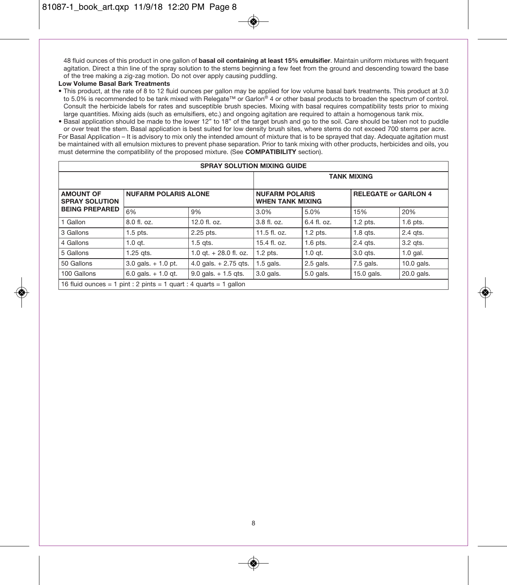48 fluid ounces of this product in one gallon of **basal oil containing at least 15% emulsifier**. Maintain uniform mixtures with frequent agitation. Direct a thin line of the spray solution to the stems beginning a few feet from the ground and descending toward the base of the tree making a zig-zag motion. Do not over apply causing puddling.

#### **Low Volume Basal Bark Treatments**

• This product, at the rate of 8 to 12 fluid ounces per gallon may be applied for low volume basal bark treatments. This product at 3.0 to 5.0% is recommended to be tank mixed with Relegate™ or Garlon® 4 or other basal products to broaden the spectrum of control. Consult the herbicide labels for rates and susceptible brush species. Mixing with basal requires compatibility tests prior to mixing large quantities. Mixing aids (such as emulsifiers, etc.) and ongoing agitation are required to attain a homogenous tank mix.

• Basal application should be made to the lower 12" to 18" of the target brush and go to the soil. Care should be taken not to puddle or over treat the stem. Basal application is best suited for low density brush sites, where stems do not exceed 700 stems per acre. For Basal Application – It is advisory to mix only the intended amount of mixture that is to be sprayed that day. Adequate agitation must be maintained with all emulsion mixtures to prevent phase separation. Prior to tank mixing with other products, herbicides and oils, you must determine the compatibility of the proposed mixture. (See **COMPATIBILITY** section).

| <b>SPRAY SOLUTION MIXING GUIDE</b>                                       |                        |                          |                                                  |               |                             |              |
|--------------------------------------------------------------------------|------------------------|--------------------------|--------------------------------------------------|---------------|-----------------------------|--------------|
|                                                                          |                        |                          |                                                  |               | <b>TANK MIXING</b>          |              |
| <b>AMOUNT OF</b><br><b>NUFARM POLARIS ALONE</b><br><b>SPRAY SOLUTION</b> |                        |                          | <b>NUFARM POLARIS</b><br><b>WHEN TANK MIXING</b> |               | <b>RELEGATE or GARLON 4</b> |              |
| <b>BEING PREPARED</b>                                                    | 6%                     | 9%                       | 3.0%                                             | 5.0%          | 15%                         | 20%          |
| 1 Gallon                                                                 | $8.0$ fl. oz.          | $12.0$ fl. oz.           | $3.8$ fl. oz.                                    | $6.4$ fl. oz. | $1.2$ pts.                  | $1.6$ pts.   |
| 3 Gallons                                                                | $1.5$ pts.             | 2.25 pts.                | 11.5 fl. oz.                                     | $1.2$ pts.    | $1.8$ qts.                  | 2.4 qts.     |
| 4 Gallons                                                                | $1.0$ qt.              | $1.5$ qts.               | $15.4$ fl. oz.                                   | $1.6$ pts.    | 2.4 gts.                    | 3.2 gts.     |
| 5 Gallons                                                                | $1.25$ gts.            | 1.0 at. $+$ 28.0 fl. oz. | $1.2$ pts.                                       | $1.0$ gt.     | $3.0$ qts.                  | $1.0$ gal.   |
| 50 Gallons                                                               | $3.0$ gals. $+1.0$ pt. | 4.0 gals. $+ 2.75$ gts.  | $1.5$ gals.                                      | 2.5 gals.     | 7.5 gals.                   | $10.0$ gals. |
| 100 Gallons                                                              | 6.0 gals. $+1.0$ gt.   | $9.0$ gals. $+1.5$ gts.  | 3.0 gals.                                        | 5.0 gals.     | 15.0 gals.                  | 20.0 gals.   |
| 16 fluid ounces = 1 pint : 2 pints = 1 quart : 4 quarts = 1 gallon       |                        |                          |                                                  |               |                             |              |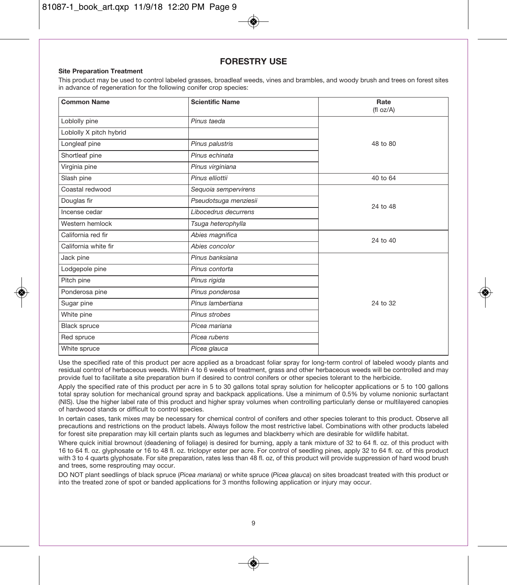### **FORESTRY USE**

#### **Site Preparation Treatment**

This product may be used to control labeled grasses, broadleaf weeds, vines and brambles, and woody brush and trees on forest sites in advance of regeneration for the following conifer crop species:

| <b>Common Name</b>      | <b>Scientific Name</b> | Rate<br>(fl oz/A) |
|-------------------------|------------------------|-------------------|
| Loblolly pine           | Pinus taeda            |                   |
| Loblolly X pitch hybrid |                        |                   |
| Longleaf pine           | Pinus palustris        | 48 to 80          |
| Shortleaf pine          | Pinus echinata         |                   |
| Virginia pine           | Pinus virginiana       |                   |
| Slash pine              | Pinus elliottii        | 40 to 64          |
| Coastal redwood         | Sequoia sempervirens   |                   |
| Douglas fir             | Pseudotsuga menziesii  | 24 to 48          |
| Incense cedar           | Libocedrus decurrens   |                   |
| Western hemlock         | Tsuga heterophylla     |                   |
| California red fir      | Abies magnifica        | 24 to 40          |
| California white fir    | Abies concolor         |                   |
| Jack pine               | Pinus banksiana        |                   |
| Lodgepole pine          | Pinus contorta         |                   |
| Pitch pine              | Pinus rigida           |                   |
| Ponderosa pine          | Pinus ponderosa        |                   |
| Sugar pine              | Pinus lambertiana      | 24 to 32          |
| White pine              | Pinus strobes          |                   |
| <b>Black spruce</b>     | Picea mariana          |                   |
| Red spruce              | Picea rubens           |                   |
| White spruce            | Picea glauca           |                   |

Use the specified rate of this product per acre applied as a broadcast foliar spray for long-term control of labeled woody plants and residual control of herbaceous weeds. Within 4 to 6 weeks of treatment, grass and other herbaceous weeds will be controlled and may provide fuel to facilitate a site preparation burn if desired to control conifers or other species tolerant to the herbicide.

Apply the specified rate of this product per acre in 5 to 30 gallons total spray solution for helicopter applications or 5 to 100 gallons total spray solution for mechanical ground spray and backpack applications. Use a minimum of 0.5% by volume nonionic surfactant (NIS). Use the higher label rate of this product and higher spray volumes when controlling particularly dense or multilayered canopies of hardwood stands or difficult to control species.

In certain cases, tank mixes may be necessary for chemical control of conifers and other species tolerant to this product. Observe all precautions and restrictions on the product labels. Always follow the most restrictive label. Combinations with other products labeled for forest site preparation may kill certain plants such as legumes and blackberry which are desirable for wildlife habitat.

Where quick initial brownout (deadening of foliage) is desired for burning, apply a tank mixture of 32 to 64 fl. oz. of this product with 16 to 64 fl. oz. glyphosate or 16 to 48 fl. oz. triclopyr ester per acre. For control of seedling pines, apply 32 to 64 fl. oz. of this product with 3 to 4 quarts glyphosate. For site preparation, rates less than 48 fl. oz, of this product will provide suppression of hard wood brush and trees, some resprouting may occur.

DO NOT plant seedlings of black spruce (Picea mariana) or white spruce (Picea glauca) on sites broadcast treated with this product or into the treated zone of spot or banded applications for 3 months following application or injury may occur.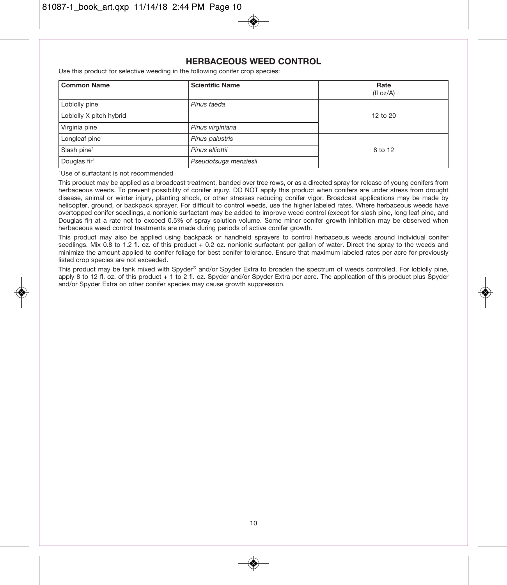### **HERBACEOUS WEED CONTROL**

Use this product for selective weeding in the following conifer crop species:

| <b>Common Name</b>         | <b>Scientific Name</b> | Rate<br>(f oz/A) |
|----------------------------|------------------------|------------------|
| Loblolly pine              | Pinus taeda            |                  |
| Loblolly X pitch hybrid    |                        | 12 to 20         |
| Virginia pine              | Pinus virginiana       |                  |
| Longleaf pine <sup>1</sup> | Pinus palustris        |                  |
| Slash pine <sup>1</sup>    | Pinus elliottii        | 8 to 12          |
| Douglas fir <sup>1</sup>   | Pseudotsuga menziesii  |                  |

<sup>1</sup>Use of surfactant is not recommended

This product may be applied as a broadcast treatment, banded over tree rows, or as a directed spray for release of young conifers from herbaceous weeds. To prevent possibility of conifer injury, DO NOT apply this product when conifers are under stress from drought disease, animal or winter injury, planting shock, or other stresses reducing conifer vigor. Broadcast applications may be made by helicopter, ground, or backpack sprayer. For difficult to control weeds, use the higher labeled rates. Where herbaceous weeds have overtopped conifer seedlings, a nonionic surfactant may be added to improve weed control (except for slash pine, long leaf pine, and Douglas fir) at a rate not to exceed 0.5% of spray solution volume. Some minor conifer growth inhibition may be observed when herbaceous weed control treatments are made during periods of active conifer growth.

This product may also be applied using backpack or handheld sprayers to control herbaceous weeds around individual conifer seedlings. Mix 0.8 to 1.2 fl. oz. of this product + 0.2 oz. nonionic surfactant per gallon of water. Direct the spray to the weeds and minimize the amount applied to conifer foliage for best conifer tolerance. Ensure that maximum labeled rates per acre for previously listed crop species are not exceeded.

This product may be tank mixed with Spyder® and/or Spyder Extra to broaden the spectrum of weeds controlled. For loblolly pine, apply 8 to 12 fl. oz. of this product + 1 to 2 fl. oz. Spyder and/or Spyder Extra per acre. The application of this product plus Spyder and/or Spyder Extra on other conifer species may cause growth suppression.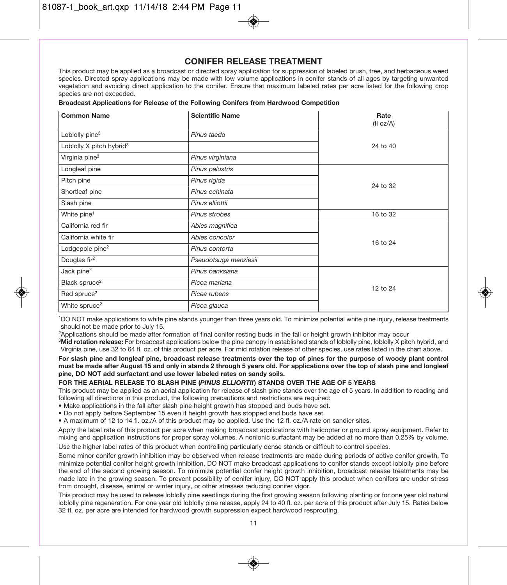### **CONIFER RELEASE TREATMENT**

This product may be applied as a broadcast or directed spray application for suppression of labeled brush, tree, and herbaceous weed species. Directed spray applications may be made with low volume applications in conifer stands of all ages by targeting unwanted vegetation and avoiding direct application to the conifer. Ensure that maximum labeled rates per acre listed for the following crop species are not exceeded.

#### **Broadcast Applications for Release of the Following Conifers from Hardwood Competition**

| <b>Common Name</b>                   | <b>Scientific Name</b> | Rate<br>(fI oz/A) |
|--------------------------------------|------------------------|-------------------|
| Loblolly pine <sup>3</sup>           | Pinus taeda            |                   |
| Loblolly X pitch hybrid <sup>3</sup> |                        | 24 to 40          |
| Virginia pine <sup>3</sup>           | Pinus virginiana       |                   |
| Longleaf pine                        | Pinus palustris        |                   |
| Pitch pine                           | Pinus rigida           | 24 to 32          |
| Shortleaf pine                       | Pinus echinata         |                   |
| Slash pine                           | Pinus elliottii        |                   |
| White pine <sup>1</sup>              | Pinus strobes          | 16 to 32          |
| California red fir                   | Abies magnifica        |                   |
| California white fir                 | Abies concolor         | 16 to 24          |
| Lodgepole pine <sup>2</sup>          | Pinus contorta         |                   |
| Douglas fir <sup>2</sup>             | Pseudotsuga menziesii  |                   |
| Jack pine <sup>2</sup>               | Pinus banksiana        |                   |
| Black spruce <sup>2</sup>            | Picea mariana          | 12 to 24          |
| Red spruce <sup>2</sup>              | Picea rubens           |                   |
| White spruce <sup>2</sup>            | Picea glauca           |                   |

1DO NOT make applications to white pine stands younger than three years old. To minimize potential white pine injury, release treatments should not be made prior to July 15.

<sup>2</sup>Applications should be made after formation of final conifer resting buds in the fall or height growth inhibitor may occur

<sup>3</sup>Mid rotation release: For broadcast applications below the pine canopy in established stands of loblolly pine, loblolly X pitch hybrid, and Virginia pine, use 32 to 64 fl. oz. of this product per acre. For mid rotation release of other species, use rates listed in the chart above.

**For slash pine and longleaf pine, broadcast release treatments over the top of pines for the purpose of woody plant control must be made after August 15 and only in stands 2 through 5 years old. For applications over the top of slash pine and longleaf pine, DO NOT add surfactant and use lower labeled rates on sandy soils.** 

#### **FOR THE AERIAL RELEASE TO SLASH PINE (***PINUS ELLIORTII***) STANDS OVER THE AGE OF 5 YEARS**

This product may be applied as an aerial application for release of slash pine stands over the age of 5 years. In addition to reading and following all directions in this product, the following precautions and restrictions are required:

• Make applications in the fall after slash pine height growth has stopped and buds have set.

• Do not apply before September 15 even if height growth has stopped and buds have set.

• A maximum of 12 to 14 fl. oz./A of this product may be applied. Use the 12 fl. oz./A rate on sandier sites.

Apply the label rate of this product per acre when making broadcast applications with helicopter or ground spray equipment. Refer to mixing and application instructions for proper spray volumes. A nonionic surfactant may be added at no more than 0.25% by volume.

Use the higher label rates of this product when controlling particularly dense stands or difficult to control species.

Some minor conifer growth inhibition may be observed when release treatments are made during periods of active conifer growth. To minimize potential conifer height growth inhibition, DO NOT make broadcast applications to conifer stands except loblolly pine before the end of the second growing season. To minimize potential confer height growth inhibition, broadcast release treatments may be made late in the growing season. To prevent possibility of conifer injury, DO NOT apply this product when conifers are under stress from drought, disease, animal or winter injury, or other stresses reducing conifer vigor.

This product may be used to release loblolly pine seedlings during the first growing season following planting or for one year old natural loblolly pine regeneration. For one year old loblolly pine release, apply 24 to 40 fl. oz. per acre of this product after July 15. Rates below 32 fl. oz. per acre are intended for hardwood growth suppression expect hardwood resprouting.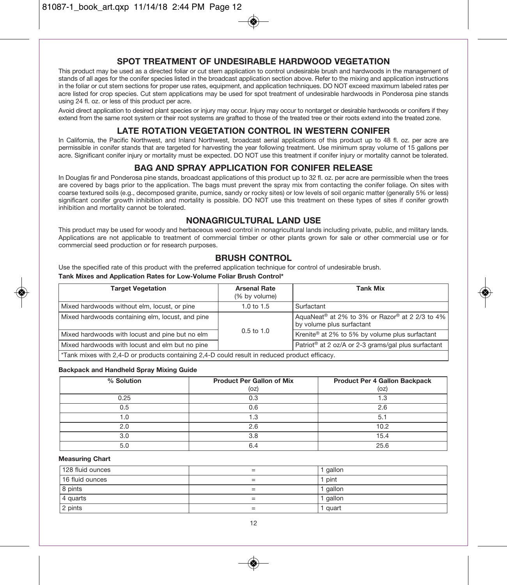### **SPOT TREATMENT OF UNDESIRABLE HARDWOOD VEGETATION**

This product may be used as a directed foliar or cut stem application to control undesirable brush and hardwoods in the management of stands of all ages for the conifer species listed in the broadcast application section above. Refer to the mixing and application instructions in the foliar or cut stem sections for proper use rates, equipment, and application techniques. DO NOT exceed maximum labeled rates per acre listed for crop species. Cut stem applications may be used for spot treatment of undesirable hardwoods in Ponderosa pine stands using 24 fl. oz. or less of this product per acre.

Avoid direct application to desired plant species or injury may occur. Injury may occur to nontarget or desirable hardwoods or conifers if they extend from the same root system or their root systems are grafted to those of the treated tree or their roots extend into the treated zone.

### **LATE ROTATION VEGETATION CONTROL IN WESTERN CONIFER**

In California, the Pacific Northwest, and Inland Northwest, broadcast aerial applications of this product up to 48 fl. oz. per acre are permissible in conifer stands that are targeted for harvesting the year following treatment. Use minimum spray volume of 15 gallons per acre. Significant conifer injury or mortality must be expected. DO NOT use this treatment if conifer injury or mortality cannot be tolerated.

#### **BAG AND SPRAY APPLICATION FOR CONIFER RELEASE**

In Douglas fir and Ponderosa pine stands, broadcast applications of this product up to 32 fl. oz. per acre are permissible when the trees are covered by bags prior to the application. The bags must prevent the spray mix from contacting the conifer foliage. On sites with coarse textured soils (e.g., decomposed granite, pumice, sandy or rocky sites) or low levels of soil organic matter (generally 5% or less) significant conifer growth inhibition and mortality is possible. DO NOT use this treatment on these types of sites if conifer growth inhibition and mortality cannot be tolerated.

### **NONAGRICULTURAL LAND USE**

This product may be used for woody and herbaceous weed control in nonagricultural lands including private, public, and military lands. Applications are not applicable to treatment of commercial timber or other plants grown for sale or other commercial use or for commercial seed production or for research purposes.

### **BRUSH CONTROL**

Use the specified rate of this product with the preferred application technique for control of undesirable brush. **Tank Mixes and Application Rates for Low-Volume Foliar Brush Control\*** 

| <b>Target Vegetation</b>                                                                      | <b>Arsenal Rate</b><br>(% by volume) | <b>Tank Mix</b>                                                                         |  |  |
|-----------------------------------------------------------------------------------------------|--------------------------------------|-----------------------------------------------------------------------------------------|--|--|
| Mixed hardwoods without elm, locust, or pine                                                  | 1.0 to $1.5$                         | Surfactant                                                                              |  |  |
| Mixed hardwoods containing elm, locust, and pine                                              |                                      | AquaNeat <sup>®</sup> at 2% to 3% or Razor® at 2 2/3 to 4%<br>by volume plus surfactant |  |  |
| Mixed hardwoods with locust and pine but no elm                                               | $0.5$ to $1.0$                       | Krenite® at 2% to 5% by volume plus surfactant                                          |  |  |
| Mixed hardwoods with locust and elm but no pine                                               |                                      | Patriot <sup>®</sup> at 2 oz/A or 2-3 grams/gal plus surfactant                         |  |  |
| *Tank mixes with 2,4-D or products containing 2,4-D could result in reduced product efficacy. |                                      |                                                                                         |  |  |

#### **Backpack and Handheld Spray Mixing Guide**

| % Solution | <b>Product Per Gallon of Mix</b><br>(oz) | Product Per 4 Gallon Backpack<br>(oz) |
|------------|------------------------------------------|---------------------------------------|
| 0.25       | 0.3                                      | 1.3                                   |
| 0.5        | 0.6                                      | 2.6                                   |
|            |                                          | 5.1                                   |
| 2.0        | 26                                       | 10.2                                  |
| 3.0        | 3.8                                      | 15.4                                  |
| 5.0        |                                          | 25.6                                  |

#### **Measuring Chart**

| 128 fluid ounces | -<br>= | gallon   |
|------------------|--------|----------|
| 16 fluid ounces  | =      | 1 pint   |
| 8 pints          | -<br>= | I gallon |
| 4 quarts         | -      | I gallon |
| 2 pints          | -<br>= | quart    |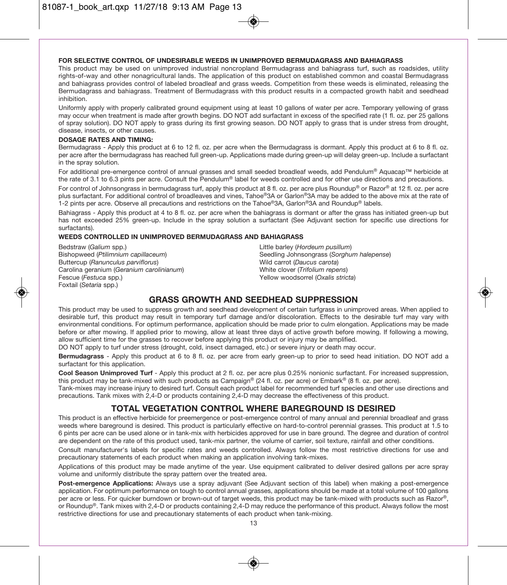#### **FOR SELECTIVE CONTROL OF UNDESIRABLE WEEDS IN UNIMPROVED BERMUDAGRASS AND BAHIAGRASS**

This product may be used on unimproved industrial noncropland Bermudagrass and bahiagrass turf, such as roadsides, utility rights-of-way and other nonagricultural lands. The application of this product on established common and coastal Bermudagrass and bahiagrass provides control of labeled broadleaf and grass weeds. Competition from these weeds is eliminated, releasing the Bermudagrass and bahiagrass. Treatment of Bermudagrass with this product results in a compacted growth habit and seedhead inhibition.

Uniformly apply with properly calibrated ground equipment using at least 10 gallons of water per acre. Temporary yellowing of grass may occur when treatment is made after growth begins. DO NOT add surfactant in excess of the specified rate (1 fl. oz. per 25 gallons of spray solution). DO NOT apply to grass during its first growing season. DO NOT apply to grass that is under stress from drought, disease, insects, or other causes.

#### **DOSAGE RATES AND TIMING:**

Bermudagrass - Apply this product at 6 to 12 fl. oz. per acre when the Bermudagrass is dormant. Apply this product at 6 to 8 fl. oz. per acre after the bermudagrass has reached full green-up. Applications made during green-up will delay green-up. Include a surfactant in the spray solution.

For additional pre-emergence control of annual grasses and small seeded broadleaf weeds, add Pendulum® Aquacap™ herbicide at the rate of 3.1 to 6.3 pints per acre. Consult the Pendulum® label for weeds controlled and for other use directions and precautions.

For control of Johnsongrass in bermudagrass turf, apply this product at 8 fl. oz. per acre plus Roundup® or Razor® at 12 fl. oz. per acre plus surfactant. For additional control of broadleaves and vines, Tahoe®3A or Garlon®3A may be added to the above mix at the rate of 1-2 pints per acre. Observe all precautions and restrictions on the Tahoe®3A, Garlon®3A and Roundup® labels.

Bahiagrass - Apply this product at 4 to 8 fl. oz. per acre when the bahiagrass is dormant or after the grass has initiated green-up but has not exceeded 25% green-up. Include in the spray solution a surfactant (See Adjuvant section for specific use directions for surfactants).

#### **WEEDS CONTROLLED IN UNIMPROVED BERMUDAGRASS AND BAHIAGRASS**

Bedstraw (Galium spp.) Bishopweed (Ptilimnium capillaceum) Buttercup (Ranunculus parviflorus) Carolina geranium (Geranium carolinianum) Fescue (Festuca spp.) Foxtail (Setaria spp.)

Little barley (Hordeum pusillum) Seedling Johnsongrass (Sorghum halepense) Wild carrot (Daucus carota) White clover (Trifolium repens) Yellow woodsorrel (Oxalis stricta)

### **GRASS GROWTH AND SEEDHEAD SUPPRESSION**

This product may be used to suppress growth and seedhead development of certain turfgrass in unimproved areas. When applied to desirable turf, this product may result in temporary turf damage and/or discoloration. Effects to the desirable turf may vary with environmental conditions. For optimum performance, application should be made prior to culm elongation. Applications may be made before or after mowing. If applied prior to mowing, allow at least three days of active growth before mowing. If following a mowing, allow sufficient time for the grasses to recover before applying this product or injury may be amplified.

DO NOT apply to turf under stress (drought, cold, insect damaged, etc.) or severe injury or death may occur.

**Bermudagrass** - Apply this product at 6 to 8 fl. oz. per acre from early green-up to prior to seed head initiation. DO NOT add a surfactant for this application.

**Cool Season Unimproved Turf** - Apply this product at 2 fl. oz. per acre plus 0.25% nonionic surfactant. For increased suppression, this product may be tank-mixed with such products as Campaign® (24 fl. oz. per acre) or Embark<sup>®</sup> (8 fl. oz. per acre).

Tank-mixes may increase injury to desired turf. Consult each product label for recommended turf species and other use directions and precautions. Tank mixes with 2,4-D or products containing 2,4-D may decrease the effectiveness of this product.

#### **TOTAL VEGETATION CONTROL WHERE BAREGROUND IS DESIRED**

This product is an effective herbicide for preemergence or post-emergence control of many annual and perennial broadleaf and grass weeds where bareground is desired. This product is particularly effective on hard-to-control perennial grasses. This product at 1.5 to 6 pints per acre can be used alone or in tank-mix with herbicides approved for use in bare ground. The degree and duration of control are dependent on the rate of this product used, tank-mix partner, the volume of carrier, soil texture, rainfall and other conditions.

Consult manufacturer's labels for specific rates and weeds controlled. Always follow the most restrictive directions for use and precautionary statements of each product when making an application involving tank-mixes.

Applications of this product may be made anytime of the year. Use equipment calibrated to deliver desired gallons per acre spray volume and uniformly distribute the spray pattern over the treated area.

**Post-emergence Applications:** Always use a spray adjuvant (See Adjuvant section of this label) when making a post-emergence application. For optimum performance on tough to control annual grasses, applications should be made at a total volume of 100 gallons per acre or less. For quicker burndown or brown-out of target weeds, this product may be tank-mixed with products such as Razor®, or Roundup®. Tank mixes with 2,4-D or products containing 2,4-D may reduce the performance of this product. Always follow the most restrictive directions for use and precautionary statements of each product when tank-mixing.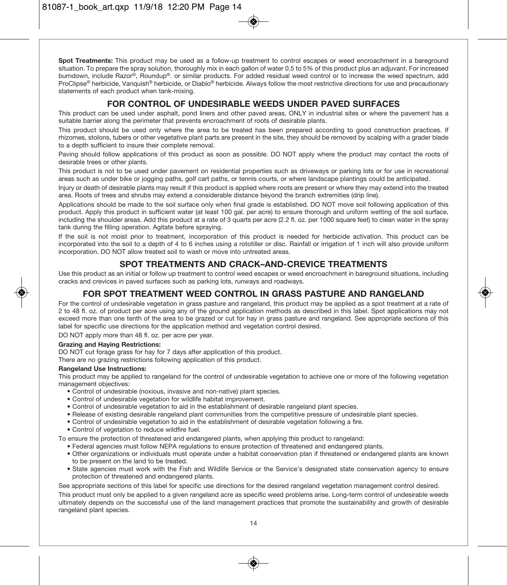**Spot Treatments:** This product may be used as a follow-up treatment to control escapes or weed encroachment in a bareground situation. To prepare the spray solution, thoroughly mix in each gallon of water 0.5 to 5% of this product plus an adjuvant. For increased burndown, include Razor®, Roundup®. or similar products. For added residual weed control or to increase the weed spectrum, add ProClipse® herbicide, Vanquish® herbicide, or Diablo® herbicide. Always follow the most restrictive directions for use and precautionary statements of each product when tank-mixing.

#### **FOR CONTROL OF UNDESIRABLE WEEDS UNDER PAVED SURFACES**

This product can be used under asphalt, pond liners and other paved areas, ONLY in industrial sites or where the pavement has a suitable barrier along the perimeter that prevents encroachment of roots of desirable plants.

This product should be used only where the area to be treated has been prepared according to good construction practices. If rhizomes, stolons, tubers or other vegetative plant parts are present in the site, they should be removed by scalping with a grader blade to a depth sufficient to insure their complete removal.

Paving should follow applications of this product as soon as possible. DO NOT apply where the product may contact the roots of desirable trees or other plants.

This product is not to be used under pavement on residential properties such as driveways or parking lots or for use in recreational areas such as under bike or jogging paths, golf cart paths, or tennis courts, or where landscape plantings could be anticipated.

Injury or death of desirable plants may result if this product is applied where roots are present or where they may extend into the treated area. Roots of trees and shrubs may extend a considerable distance beyond the branch extremities (drip line).

Applications should be made to the soil surface only when final grade is established. DO NOT move soil following application of this product. Apply this product in sufficient water (at least 100 gal. per acre) to ensure thorough and uniform wetting of the soil surface, including the shoulder areas. Add this product at a rate of 3 quarts per acre (2.2 fl. oz. per 1000 square feet) to clean water in the spray tank during the filling operation. Agitate before spraying.

If the soil is not moist prior to treatment, incorporation of this product is needed for herbicide activation. This product can be incorporated into the soil to a depth of 4 to 6 inches using a rototiller or disc. Rainfall or irrigation of 1 inch will also provide uniform incorporation. DO NOT allow treated soil to wash or move into untreated areas.

### **SPOT TREATMENTS AND CRACK–AND-CREVICE TREATMENTS**

Use this product as an initial or follow up treatment to control weed escapes or weed encroachment in bareground situations, including cracks and crevices in paved surfaces such as parking lots, runways and roadways.

### **FOR SPOT TREATMENT WEED CONTROL IN GRASS PASTURE AND RANGELAND**

For the control of undesirable vegetation in grass pasture and rangeland, this product may be applied as a spot treatment at a rate of 2 to 48 fl. oz. of product per acre using any of the ground application methods as described in this label. Spot applications may not exceed more than one tenth of the area to be grazed or cut for hay in grass pasture and rangeland. See appropriate sections of this label for specific use directions for the application method and vegetation control desired.

DO NOT apply more than 48 fl. oz. per acre per year.

#### **Grazing and Haying Restrictions:**

DO NOT cut forage grass for hay for 7 days after application of this product.

There are no grazing restrictions following application of this product.

#### **Rangeland Use Instructions:**

This product may be applied to rangeland for the control of undesirable vegetation to achieve one or more of the following vegetation management objectives:

- Control of undesirable (noxious, invasive and non-native) plant species.
- Control of undesirable vegetation for wildlife habitat improvement.
- Control of undesirable vegetation to aid in the establishment of desirable rangeland plant species.
- Release of existing desirable rangeland plant communities from the competitive pressure of undesirable plant species.
- Control of undesirable vegetation to aid in the establishment of desirable vegetation following a fire.
- Control of vegetation to reduce wildfire fuel.

To ensure the protection of threatened and endangered plants, when applying this product to rangeland:

- Federal agencies must follow NEPA regulations to ensure protection of threatened and endangered plants.
- Other organizations or individuals must operate under a habitat conservation plan if threatened or endangered plants are known to be present on the land to be treated.
- State agencies must work with the Fish and Wildlife Service or the Service's designated state conservation agency to ensure protection of threatened and endangered plants.

See appropriate sections of this label for specific use directions for the desired rangeland vegetation management control desired.

This product must only be applied to a given rangeland acre as specific weed problems arise. Long-term control of undesirable weeds ultimately depends on the successful use of the land management practices that promote the sustainability and growth of desirable rangeland plant species.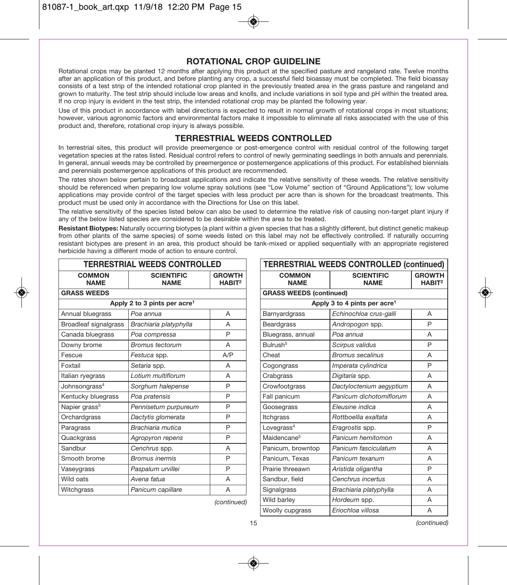### **ROTATIONAL CROP GUIDELINE**

Rotational crops may be planted 12 months after applying this product at the specified pasture and rangeland rate. Twelve months after an application of this product, and before planting any crop, a successful field bioassay must be completed. The field bioassay consists of a test strip of the intended rotational crop planted in the previously treated area in the grass pasture and rangeland and grown to maturity. The test strip should include low areas and knolls, and include variations in soil type and pH within the treated area. If no crop injury is evident in the test strip, the intended rotational crop may be planted the following year.

Use of this product in accordance with label directions is expected to result in normal growth of rotational crops in most situations; however, various agronomic factors and environmental factors make it impossible to eliminate all risks associated with the use of this product and, therefore, rotational crop injury is always possible.

### **TERRESTRIAL WEEDS CONTROLLED**

In terrestrial sites, this product will provide preemergence or post-emergence control with residual control of the following target vegetation species at the rates listed. Residual control refers to control of newly germinating seedlings in both annuals and perennials. In general, annual weeds may be controlled by preemergence or postemergence applications of this product. For established biennials and perennials postemergence applications of this product are recommended.

The rates shown below pertain to broadcast applications and indicate the relative sensitivity of these weeds. The relative sensitivity should be referenced when preparing low volume spray solutions (see "Low Volume" section of "Ground Applications"); low volume applications may provide control of the target species with less product per acre than is shown for the broadcast treatments. This product must be used only in accordance with the Directions for Use on this label.

The relative sensitivity of the species listed below can also be used to determine the relative risk of causing non-target plant injury if any of the below listed species are considered to be desirable within the area to be treated.

**Resistant Biotypes:** Naturally occurring biotypes (a plant within a given species that has a slightly different, but distinct genetic makeup from other plants of the same species) of some weeds listed on this label may not be effectively controlled. If naturally occurring resistant biotypes are present in an area, this product should be tank-mixed or applied sequentially with an appropriate registered herbicide having a different mode of action to ensure control.

| TERRESTRIAL WEEDS CONTROLLED |                                          |                                     |  |  |
|------------------------------|------------------------------------------|-------------------------------------|--|--|
| COMMON<br><b>NAME</b>        | <b>SCIENTIFIC</b><br><b>NAME</b>         | <b>GROWTH</b><br>HABIT <sup>2</sup> |  |  |
| <b>GRASS WEEDS</b>           |                                          |                                     |  |  |
|                              | Apply 2 to 3 pints per acre <sup>1</sup> |                                     |  |  |
| Annual bluegrass             | Poa annua                                | A                                   |  |  |
| Broadleaf signalgrass        | Brachiaria platyphylla                   | A                                   |  |  |
| Canada bluegrass             | Poa compressa                            | P                                   |  |  |
| Downy brome                  | <b>Bromus tectorum</b>                   | A                                   |  |  |
| Fescue                       | Festuca spp.                             | A/P                                 |  |  |
| Foxtail                      | Setaria spp.                             | A                                   |  |  |
| Italian ryegrass             | Lotium multiflorum                       | A                                   |  |  |
| Johnsongrass <sup>4</sup>    | Sorghum halepense                        | P                                   |  |  |
| Kentucky bluegrass           | Poa pratensis                            | P                                   |  |  |
| Napier grass <sup>5</sup>    | Pennisetum purpureum                     | P                                   |  |  |
| Orchardgrass                 | Dactytis glomerata                       | P                                   |  |  |
| Paragrass                    | Brachiaria mutica                        | P                                   |  |  |
| Quackgrass                   | Agropyron repens                         | P                                   |  |  |
| Sandbur                      | Cenchrus spp.                            | А                                   |  |  |
| Smooth brome                 | <b>Bromus inermis</b>                    | P                                   |  |  |
| Vaseygrass                   | Paspalum urvillei                        | P                                   |  |  |
| Wild oats                    | Avena fatua                              | A                                   |  |  |
| Witchgrass                   | Panicum capillare                        | A                                   |  |  |

| <b>TERRESTRIAL WEEDS CONTROLLED (continued)</b> |                                          |                                     |  |  |
|-------------------------------------------------|------------------------------------------|-------------------------------------|--|--|
| <b>COMMON</b><br><b>NAME</b>                    | <b>SCIENTIFIC</b><br><b>NAME</b>         | <b>GROWTH</b><br>HABIT <sup>2</sup> |  |  |
| <b>GRASS WEEDS (continued)</b>                  |                                          |                                     |  |  |
|                                                 | Apply 3 to 4 pints per acre <sup>1</sup> |                                     |  |  |
| Barnyardgrass                                   | Echinochloa crus-galli                   | A                                   |  |  |
| Beardgrass                                      | Andropogon spp.                          | P                                   |  |  |
| Bluegrass, annual                               | Poa annua                                | A                                   |  |  |
| Bulrush <sup>5</sup>                            | Scirpus validus                          | P                                   |  |  |
| Cheat                                           | <b>Bromus secalinus</b>                  | A                                   |  |  |
| Cogongrass                                      | Imperata cylindrica                      | P                                   |  |  |
| Crabgrass                                       | Digitaria spp.                           | A                                   |  |  |
| Crowfootgrass                                   | Dactyloctenium aegyptium                 | A                                   |  |  |
| Fall panicum                                    | Panicum dichotomiflorum                  | A                                   |  |  |
| Goosegrass                                      | Eleusine indica                          | A                                   |  |  |
| Itchgrass                                       | Rottboellia exaltata                     | A                                   |  |  |
| Lovegrass <sup>4</sup>                          | Eragrostis spp.                          | P                                   |  |  |
| Maidencane <sup>5</sup>                         | Panicum hemitomon                        | A                                   |  |  |
| Panicum, browntop                               | Panicum fasciculatum                     | A                                   |  |  |
| Panicum, Texas                                  | Panicum texanum                          | A                                   |  |  |
| Prairie threeawn                                | Aristida oligantha                       | P                                   |  |  |
| Sandbur, field                                  | Cenchrus incertus                        | A                                   |  |  |
| Signalgrass                                     | Brachiaria platyphylla                   | A                                   |  |  |
| Wild barley                                     | Hordeum spp.                             | A                                   |  |  |
| Woolly cupgrass                                 | Eriochloa villosa                        | A                                   |  |  |

(continued)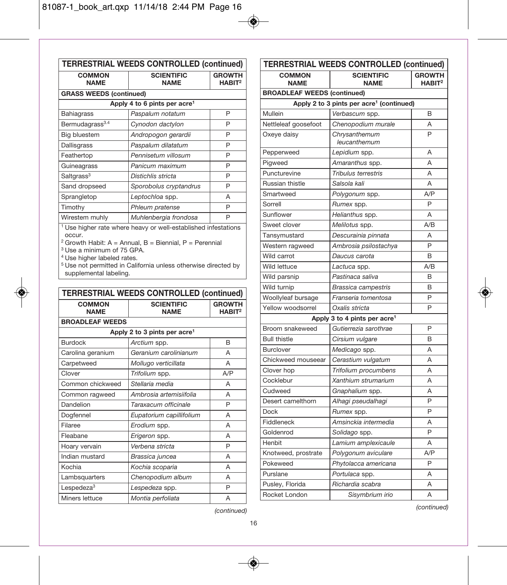r.

| <b>COMMON</b>                  | <b>SCIENTIFIC</b>                                                                                                            | <b>GROWTH</b>                          |
|--------------------------------|------------------------------------------------------------------------------------------------------------------------------|----------------------------------------|
| <b>NAME</b>                    | <b>NAME</b>                                                                                                                  | HABIT <sup>2</sup>                     |
| <b>GRASS WEEDS (continued)</b> |                                                                                                                              |                                        |
|                                | Apply 4 to 6 pints per acre <sup>1</sup>                                                                                     |                                        |
| Bahiagrass                     | Paspalum notatum                                                                                                             | P                                      |
| Bermudagrass <sup>3.4</sup>    | Cynodon dactylon                                                                                                             | P                                      |
| Big bluestem                   | Andropogon gerardii                                                                                                          | P                                      |
| Dallisgrass                    | Paspalum dilatatum                                                                                                           | P                                      |
| Feathertop                     | Pennisetum villosum                                                                                                          | P                                      |
| Guineagrass                    | Panicum maximum                                                                                                              | P                                      |
| Saltgrass <sup>3</sup>         | Distichlis stricta                                                                                                           | P                                      |
| Sand dropseed                  | Sporobolus cryptandrus                                                                                                       | P                                      |
| Sprangletop                    | Leptochloa spp.                                                                                                              | A                                      |
| Timothy                        | Phleum pratense                                                                                                              | P                                      |
| Wirestem muhly                 | Muhlenbergia frondosa                                                                                                        | P                                      |
|                                |                                                                                                                              |                                        |
| supplemental labeling.         | <sup>5</sup> Use not permitted in California unless otherwise directed by<br><b>TERRESTRIAL WEEDS CONTROLLED (continued)</b> |                                        |
| <b>COMMON</b><br><b>NAME</b>   | <b>SCIENTIFIC</b><br><b>NAME</b>                                                                                             | <b>GROWTH</b><br>$H$ ABIT <sup>2</sup> |
| <b>BROADLEAF WEEDS</b>         |                                                                                                                              |                                        |
|                                | Apply 2 to 3 pints per acre <sup>1</sup>                                                                                     |                                        |
| <b>Burdock</b>                 | Arctium spp.                                                                                                                 | B                                      |
| Carolina geranium              | Geranium carolinianum                                                                                                        | A                                      |
| Carpetweed                     | Mollugo verticillata                                                                                                         | A                                      |
| Clover                         | Trifolium spp.                                                                                                               | A/P                                    |
| Common chickweed               | Stellaria media                                                                                                              | A                                      |
| Common ragweed                 | Ambrosia artemisiifolia                                                                                                      | А                                      |
| Dandelion                      | Taraxacum officinale                                                                                                         | P                                      |
| Dogfennel                      | Eupatorium capillifolium                                                                                                     | A                                      |
| Filaree                        | Erodium spp.                                                                                                                 | A                                      |
| Fleabane                       | Erigeron spp.                                                                                                                | Α                                      |
| Hoary vervain                  | Verbena stricta                                                                                                              | P                                      |
| Indian mustard                 | Brassica juncea                                                                                                              | A                                      |
| Kochia                         | Kochia scoparia                                                                                                              | A                                      |
| Lambsquarters                  | Chenopodium album                                                                                                            | A                                      |
| Lespedeza <sup>3</sup>         | Lespedeza spp.                                                                                                               | P                                      |

| <b>TERRESTRIAL WEEDS CONTROLLED (continued)</b> |                                                      |                                     |  |  |  |
|-------------------------------------------------|------------------------------------------------------|-------------------------------------|--|--|--|
| <b>COMMON</b><br><b>NAME</b>                    | <b>SCIENTIFIC</b><br><b>NAME</b>                     | <b>GROWTH</b><br>HABIT <sup>2</sup> |  |  |  |
| <b>BROADLEAF WEEDS (continued)</b>              |                                                      |                                     |  |  |  |
|                                                 | Apply 2 to 3 pints per acre <sup>1</sup> (continued) |                                     |  |  |  |
| Mullein                                         | Verbascum spp.                                       | B                                   |  |  |  |
| Nettleleaf goosefoot                            | Chenopodium murale                                   | A                                   |  |  |  |
| Oxeye daisy                                     | Chrysanthemum<br>leucanthemum                        | P                                   |  |  |  |
| Pepperweed                                      | Lepidium spp.                                        | Α                                   |  |  |  |
| Pigweed                                         | Amaranthus spp.                                      | A                                   |  |  |  |
| Puncturevine                                    | Tribulus terrestris                                  | A                                   |  |  |  |
| Russian thistle                                 | Salsola kali                                         | A                                   |  |  |  |
| Smartweed                                       | Polygonum spp.                                       | A/P                                 |  |  |  |
| Sorrell                                         | Rumex spp.                                           | P                                   |  |  |  |
| Sunflower                                       | Helianthus spp.                                      | A                                   |  |  |  |
| Sweet clover                                    | Melilotus spp.                                       | A/B                                 |  |  |  |
| Tansymustard                                    | Descurainia pinnata                                  | A                                   |  |  |  |
| Western ragweed                                 | Ambrosia psilostachya                                | P                                   |  |  |  |
| Wild carrot                                     | Daucus carota                                        | B                                   |  |  |  |
| Wild lettuce                                    | Lactuca spp.                                         | A/B                                 |  |  |  |
| Wild parsnip                                    | Pastinaca saliva                                     | B                                   |  |  |  |
| Wild turnip                                     | <b>Brassica campestris</b>                           | B                                   |  |  |  |
| Woollyleaf bursage                              | Franseria tomentosa                                  | P                                   |  |  |  |
| Yellow woodsorrel                               | Oxalis stricta                                       | P                                   |  |  |  |
|                                                 | Apply 3 to 4 pints per acre <sup>1</sup>             |                                     |  |  |  |
| Broom snakeweed                                 | Gutierrezia sarothrae                                | P                                   |  |  |  |
| <b>Bull thistle</b>                             | Cirsium vulgare                                      | B                                   |  |  |  |
| <b>Burclover</b>                                | Medicago spp.                                        | A                                   |  |  |  |
| Chickweed mouseear                              | Cerastium vulgatum                                   | A                                   |  |  |  |
| Clover hop                                      | Trifolium procumbens                                 | A                                   |  |  |  |
| Cocklebur                                       | Xanthium strumarium                                  | A                                   |  |  |  |
| Cudweed                                         | Gnaphalium spp.                                      | A                                   |  |  |  |
| Desert camelthorn                               | Alhagi pseudalhagi                                   | P                                   |  |  |  |
| <b>Dock</b>                                     | Rumex spp.                                           | P                                   |  |  |  |
| Fiddleneck                                      | Amsinckia intermedia                                 | Α                                   |  |  |  |
| Goldenrod                                       | Solidago spp.                                        | P                                   |  |  |  |
| Henbit                                          | Lamium amplexicaule                                  | A                                   |  |  |  |
| Knotweed, prostrate                             | Polygonum aviculare                                  | A/P                                 |  |  |  |
| Pokeweed                                        | Phytolacca americana                                 | P                                   |  |  |  |
| Purslane                                        | Portulaca spp.                                       | A                                   |  |  |  |
| Pusley, Florida                                 | Richardia scabra                                     | Α                                   |  |  |  |
| Rocket London                                   | Sisymbrium irio                                      | A                                   |  |  |  |

 $\bigcirc$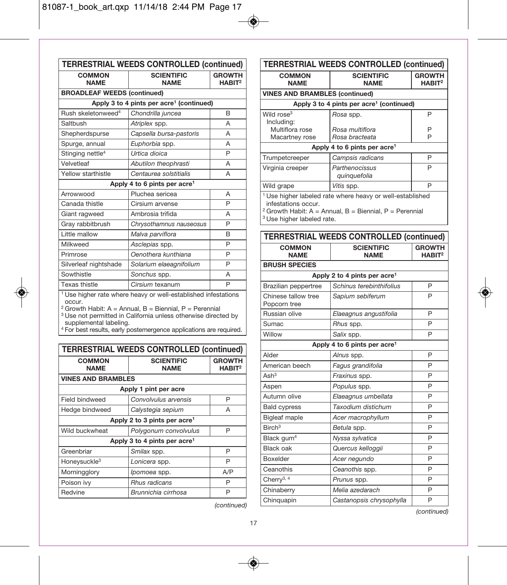| <b>TERRESTRIAL WEEDS CONTROLLED (continued)</b> |                                                                                                                                                                                                                                                                                                               |                                        |  |  |
|-------------------------------------------------|---------------------------------------------------------------------------------------------------------------------------------------------------------------------------------------------------------------------------------------------------------------------------------------------------------------|----------------------------------------|--|--|
| <b>COMMON</b><br><b>NAME</b>                    | <b>SCIENTIFIC</b><br><b>NAME</b>                                                                                                                                                                                                                                                                              | <b>GROWTH</b><br>HABIT <sup>2</sup>    |  |  |
| <b>BROADLEAF WEEDS (continued)</b>              |                                                                                                                                                                                                                                                                                                               |                                        |  |  |
|                                                 | Apply 3 to 4 pints per acre <sup>1</sup> (continued)                                                                                                                                                                                                                                                          |                                        |  |  |
| Rush skeletonweed <sup>4</sup>                  | Chondrilla juncea                                                                                                                                                                                                                                                                                             | B                                      |  |  |
| Saltbush                                        | Atriplex spp.                                                                                                                                                                                                                                                                                                 | A                                      |  |  |
| Shepherdspurse                                  | Capsella bursa-pastoris                                                                                                                                                                                                                                                                                       | A                                      |  |  |
| Spurge, annual                                  | Euphorbia spp.                                                                                                                                                                                                                                                                                                | A                                      |  |  |
| Stinging nettle <sup>4</sup>                    | Urtica dioica                                                                                                                                                                                                                                                                                                 | P                                      |  |  |
| Velvetleaf                                      | Abutilon theophrasti                                                                                                                                                                                                                                                                                          | Α                                      |  |  |
| Yellow starthistle                              | Centaurea solstitialis                                                                                                                                                                                                                                                                                        | A                                      |  |  |
|                                                 | Apply 4 to 6 pints per acre <sup>1</sup>                                                                                                                                                                                                                                                                      |                                        |  |  |
| Arrowwood                                       | Pluchea sericea                                                                                                                                                                                                                                                                                               | A                                      |  |  |
| Canada thistle                                  | Cirsium arvense                                                                                                                                                                                                                                                                                               | P                                      |  |  |
| Giant ragweed                                   | Ambrosia trifida                                                                                                                                                                                                                                                                                              | Α                                      |  |  |
| Gray rabbitbrush                                | Chrysothamnus nauseosus                                                                                                                                                                                                                                                                                       | P                                      |  |  |
| Little mallow                                   | Malva parviflora                                                                                                                                                                                                                                                                                              | B                                      |  |  |
| Milkweed                                        | Asclepias spp.                                                                                                                                                                                                                                                                                                | P                                      |  |  |
| Primrose                                        | Oenothera kunthiana                                                                                                                                                                                                                                                                                           | P                                      |  |  |
| Silverleaf nightshade                           | Solarium elaeagnifolium                                                                                                                                                                                                                                                                                       | P                                      |  |  |
| Sowthistle                                      | Sonchus spp.                                                                                                                                                                                                                                                                                                  | A                                      |  |  |
| <b>Texas thistle</b>                            | Cirsium texanum                                                                                                                                                                                                                                                                                               | P                                      |  |  |
| occur.<br>supplemental labeling.                | <sup>1</sup> Use higher rate where heavy or well-established infestations<br><sup>2</sup> Growth Habit: A = Annual, B = Biennial, P = Perennial<br><sup>3</sup> Use not permitted in California unless otherwise directed by<br><sup>4</sup> For best results, early postemergence applications are required. |                                        |  |  |
|                                                 | <b>TERRESTRIAL WEEDS CONTROLLED (continued)</b>                                                                                                                                                                                                                                                               |                                        |  |  |
| <b>COMMON</b><br><b>NAME</b>                    | <b>SCIENTIFIC</b><br><b>NAME</b>                                                                                                                                                                                                                                                                              | <b>GROWTH</b><br>$H$ ABIT <sup>2</sup> |  |  |
| <b>VINES AND BRAMBLES</b>                       |                                                                                                                                                                                                                                                                                                               |                                        |  |  |
|                                                 | Apply 1 pint per acre                                                                                                                                                                                                                                                                                         |                                        |  |  |
| <b>Field bindweed</b>                           | Convolvulus arvensis                                                                                                                                                                                                                                                                                          | P                                      |  |  |
| Hedge bindweed                                  | Calystegia sepium                                                                                                                                                                                                                                                                                             | A                                      |  |  |
|                                                 | Apply 2 to 3 pints per acre <sup>1</sup>                                                                                                                                                                                                                                                                      |                                        |  |  |
| Wild buckwheat                                  | Polygonum convolvulus                                                                                                                                                                                                                                                                                         | P                                      |  |  |
|                                                 | Apply 3 to 4 pints per acre <sup>1</sup>                                                                                                                                                                                                                                                                      |                                        |  |  |
| Greenbriar                                      | Smilax spp.                                                                                                                                                                                                                                                                                                   | P                                      |  |  |
| Honeysuckle <sup>3</sup>                        | Lonicera spp.                                                                                                                                                                                                                                                                                                 | P                                      |  |  |
| Morningglory                                    | Ipomoea spp.                                                                                                                                                                                                                                                                                                  | A/P                                    |  |  |
| Poison ivv                                      | Rhus radicans                                                                                                                                                                                                                                                                                                 | P                                      |  |  |

Redvine Brunnichia cirrhosa P

| <b>TERRESTRIAL WEEDS CONTROLLED (continued)</b>                                                                                                                   |                                                      |                                        |  |
|-------------------------------------------------------------------------------------------------------------------------------------------------------------------|------------------------------------------------------|----------------------------------------|--|
| <b>COMMON</b><br><b>NAME</b>                                                                                                                                      | <b>SCIENTIFIC</b><br><b>NAME</b>                     | <b>GROWTH</b><br>$H$ ABIT <sup>2</sup> |  |
| <b>VINES AND BRAMBLES (continued)</b>                                                                                                                             |                                                      |                                        |  |
|                                                                                                                                                                   | Apply 3 to 4 pints per acre <sup>1</sup> (continued) |                                        |  |
| Wild rose <sup>3</sup><br>Including:                                                                                                                              | Rosa spp.                                            | P                                      |  |
| Multiflora rose                                                                                                                                                   | Rosa multiflora                                      | P                                      |  |
| Macartney rose                                                                                                                                                    | Rosa bracteata                                       | P                                      |  |
| Apply 4 to 6 pints per acre <sup>1</sup>                                                                                                                          |                                                      |                                        |  |
| Trumpetcreeper                                                                                                                                                    | Campsis radicans                                     | P                                      |  |
| Virginia creeper                                                                                                                                                  | Parthenocissus<br>quinquefolia                       | P                                      |  |
| Wild grape                                                                                                                                                        | Vitis spp.                                           | P                                      |  |
| <sup>1</sup> Use higher labeled rate where heavy or well-established<br>infestations occur.<br><sup>2</sup> Growth Habit: A = Annual, B = Biennial, P = Perennial |                                                      |                                        |  |

<sup>3</sup> Use higher labeled rate.

 $\bigcirc$ 

| <b>TERRESTRIAL WEEDS CONTROLLED (continued)</b> |                                          |                                     |  |
|-------------------------------------------------|------------------------------------------|-------------------------------------|--|
| COMMON<br><b>NAMF</b>                           | <b>SCIENTIFIC</b><br><b>NAME</b>         | <b>GROWTH</b><br>HARIT <sup>2</sup> |  |
| <b>BRUSH SPECIES</b>                            |                                          |                                     |  |
|                                                 | Apply 2 to 4 pints per acre <sup>1</sup> |                                     |  |
| Brazilian peppertree                            | Schinus terebinthifolius                 | P                                   |  |
| Chinese tallow tree<br>Popcorn tree             | Sapium sebiferum                         | P                                   |  |
| Russian olive                                   | Elaeagnus angustifolia                   | P                                   |  |
| Sumac                                           | Rhus spp.                                | P                                   |  |
| Willow                                          | Salix spp.                               | P                                   |  |
|                                                 | Apply 4 to 6 pints per acre <sup>1</sup> |                                     |  |
| Alder                                           | Alnus spp.                               | P                                   |  |
| American beech                                  | Fagus grandifolia                        | P                                   |  |
| Ash <sup>3</sup>                                | Fraxinus spp.                            | P                                   |  |
| Aspen                                           | Populus spp.                             | P                                   |  |
| Autumn olive                                    | Elaeagnus umbellata                      | P                                   |  |
| <b>Bald cypress</b>                             | Taxodium distichum                       | P                                   |  |
| <b>Bigleaf maple</b>                            | Acer macrophyllum                        | P                                   |  |
| $B$ irch <sup>3</sup>                           | Betula spp.                              | P                                   |  |
| Black gum <sup>4</sup>                          | Nyssa sylvatica                          | P                                   |  |
| Black oak                                       | Quercus kelloggii                        | P                                   |  |
| <b>Boxelder</b>                                 | Acer negundo                             | P                                   |  |
| Ceanothis                                       | Ceanothis spp.                           | P                                   |  |
| Cherry $3, 4$                                   | Prunus spp.                              | P                                   |  |
| Chinaberry                                      | Melia azedarach                          | P                                   |  |
| Chinguapin                                      | Castanopsis chrysophylla                 | P                                   |  |

(continued)

(continued)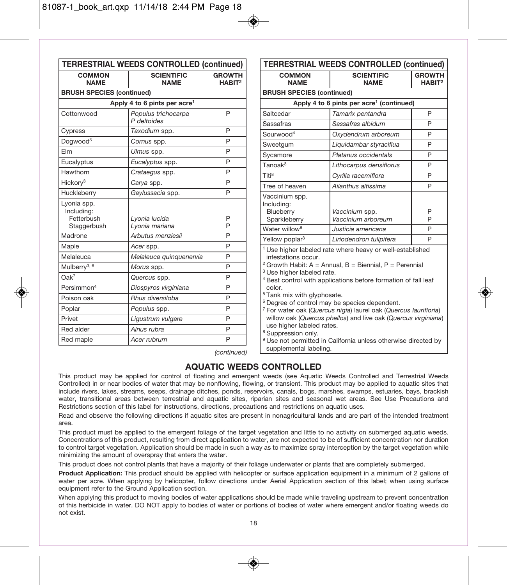|                                         | <b>TERRESTRIAL WEEDS CONTROLLED (continued)</b> |                                     |                                                             | <b>TERRESTRIAL WEEDS CONTROLLED (continued</b>                              |                               |
|-----------------------------------------|-------------------------------------------------|-------------------------------------|-------------------------------------------------------------|-----------------------------------------------------------------------------|-------------------------------|
| <b>COMMON</b><br><b>NAME</b>            | <b>SCIENTIFIC</b><br><b>NAME</b>                | <b>GROWTH</b><br>HABIT <sup>2</sup> | <b>COMMON</b><br><b>NAME</b>                                | <b>SCIENTIFIC</b><br><b>NAME</b>                                            | <b>GROWTI</b><br><b>HABIT</b> |
| <b>BRUSH SPECIES (continued)</b>        |                                                 |                                     | <b>BRUSH SPECIES (continued)</b>                            |                                                                             |                               |
|                                         | Apply 4 to 6 pints per acre <sup>1</sup>        |                                     |                                                             | Apply 4 to 6 pints per acre <sup>1</sup> (continued)                        |                               |
| Cottonwood                              | Populus trichocarpa<br>P deltoides              | P                                   | Saltcedar<br>Sassafras                                      | Tamarix pentandra<br>Sassafras albidum                                      | P<br>P                        |
| Cypress                                 | Taxodium spp.                                   | P                                   | Sourwood <sup>4</sup>                                       | Oxydendrum arboreum                                                         | P                             |
| Dogwood <sup>3</sup>                    | Cornus spp.                                     | P                                   |                                                             |                                                                             | P                             |
| Elm                                     | Ulmus spp.                                      | P                                   | Sweetgum                                                    | Liquidambar styraciflua<br>Platanus occidentals                             |                               |
| Eucalyptus                              | Eucalyptus spp.                                 | P                                   | Sycamore                                                    |                                                                             | P                             |
| Hawthorn                                | Crataegus spp.                                  | P                                   | Tanoak <sup>3</sup>                                         | Lithocarpus densiflorus                                                     | P                             |
| Hickory <sup>3</sup>                    | Carya spp.                                      | P                                   | Titi <sup>8</sup>                                           | Cyrilla racemiflora                                                         | P                             |
| Huckleberry                             | Gaylussacia spp.                                | P                                   | Tree of heaven                                              | Ailanthus altissima                                                         | P                             |
| Lyonia spp.<br>Including:<br>Fetterbush | Lyonia lucida                                   | P                                   | Vaccinium spp.<br>Includina:<br>Blueberry<br>Sparkleberry   | Vaccinium spp.<br>Vaccinium arboreum                                        | P<br>P                        |
| Staggerbush                             | Lyonia mariana                                  | P                                   | Water willow <sup>9</sup>                                   | Justicia americana                                                          | P                             |
| Madrone                                 | Arbutus menziesii                               | P                                   | Yellow poplar <sup>3</sup>                                  | Liriodendron tulipifera                                                     | P                             |
| Maple                                   | Acer spp.                                       | P                                   |                                                             | <sup>1</sup> Use higher labeled rate where heavy or well-established        |                               |
| Melaleuca                               | Melaleuca quinquenervia                         | P                                   | infestations occur.                                         |                                                                             |                               |
| Mulberry <sup>3, 6</sup>                | Morus spp.                                      | P                                   |                                                             | <sup>2</sup> Growth Habit: A = Annual, B = Biennial, P = Perennial          |                               |
| $Oak^7$                                 | Quercus spp.                                    | P                                   | <sup>3</sup> Use higher labeled rate.                       | <sup>4</sup> Best control with applications before formation of fall leaf   |                               |
| Persimmon <sup>4</sup>                  | Diospyros virginiana                            | P                                   | color.                                                      |                                                                             |                               |
| Poison oak                              | Rhus diversiloba                                | P                                   | <sup>5</sup> Tank mix with glyphosate.                      | <sup>6</sup> Degree of control may be species dependent.                    |                               |
| Poplar                                  | Populus spp.                                    | P                                   |                                                             | <sup>7</sup> For water oak (Quercus nigia) laurel oak (Quercus laurifloria) |                               |
| Privet                                  | Ligustrum vulgare                               | P                                   |                                                             | willow oak (Quercus phellos) and live oak (Quercus virginiana               |                               |
| Red alder                               | Alnus rubra                                     | P                                   | use higher labeled rates.<br><sup>8</sup> Suppression only. |                                                                             |                               |
| Red maple                               | Acer rubrum                                     | P                                   |                                                             | <sup>9</sup> Use not permitted in California unless otherwise directed by   |                               |
|                                         |                                                 | $1 - 2 - 41 - 1 - 1$                | supplemental labeling.                                      |                                                                             |                               |

| TERRESTRIAL WEEDS CONTROLLED (continued)                                                                                                                                        |                                                                                                                                                                                                                                                                                                                                                                                                                                      |                                     |
|---------------------------------------------------------------------------------------------------------------------------------------------------------------------------------|--------------------------------------------------------------------------------------------------------------------------------------------------------------------------------------------------------------------------------------------------------------------------------------------------------------------------------------------------------------------------------------------------------------------------------------|-------------------------------------|
| <b>COMMON</b><br><b>NAME</b>                                                                                                                                                    | <b>SCIENTIFIC</b><br><b>NAME</b>                                                                                                                                                                                                                                                                                                                                                                                                     | <b>GROWTH</b><br>HABIT <sup>2</sup> |
| <b>BRUSH SPECIES (continued)</b>                                                                                                                                                |                                                                                                                                                                                                                                                                                                                                                                                                                                      |                                     |
|                                                                                                                                                                                 | Apply 4 to 6 pints per acre <sup>1</sup> (continued)                                                                                                                                                                                                                                                                                                                                                                                 |                                     |
| Saltcedar                                                                                                                                                                       | Tamarix pentandra                                                                                                                                                                                                                                                                                                                                                                                                                    | P                                   |
| Sassafras                                                                                                                                                                       | Sassafras albidum                                                                                                                                                                                                                                                                                                                                                                                                                    | P                                   |
| Sourwood <sup>4</sup>                                                                                                                                                           | Oxydendrum arboreum                                                                                                                                                                                                                                                                                                                                                                                                                  | P                                   |
| Sweetgum                                                                                                                                                                        | Liquidambar styraciflua                                                                                                                                                                                                                                                                                                                                                                                                              | P                                   |
| Sycamore                                                                                                                                                                        | Platanus occidentals                                                                                                                                                                                                                                                                                                                                                                                                                 | P                                   |
| Tanoak <sup>3</sup>                                                                                                                                                             | Lithocarpus densiflorus                                                                                                                                                                                                                                                                                                                                                                                                              | P                                   |
| Titi <sup>8</sup>                                                                                                                                                               | Cvrilla racemiflora                                                                                                                                                                                                                                                                                                                                                                                                                  | P                                   |
| Tree of heaven                                                                                                                                                                  | Ailanthus altissima                                                                                                                                                                                                                                                                                                                                                                                                                  | P                                   |
| Vaccinium spp.<br>Including:<br>Blueberry<br>Sparkleberry                                                                                                                       | Vaccinium spp.<br>Vaccinium arboreum                                                                                                                                                                                                                                                                                                                                                                                                 | P<br>P                              |
| Water willow <sup>9</sup>                                                                                                                                                       | Justicia americana                                                                                                                                                                                                                                                                                                                                                                                                                   | P                                   |
| Yellow poplar <sup>3</sup>                                                                                                                                                      | Liriodendron tulipifera                                                                                                                                                                                                                                                                                                                                                                                                              | Þ                                   |
| infestations occur.<br><sup>3</sup> Use higher labeled rate.<br>color.<br><sup>5</sup> Tank mix with glyphosate.<br>use higher labeled rates.<br><sup>8</sup> Suppression only. | <sup>1</sup> Use higher labeled rate where heavy or well-established<br><sup>2</sup> Growth Habit: A = Annual, B = Biennial, P = Perennial<br><sup>4</sup> Best control with applications before formation of fall leaf<br><sup>6</sup> Degree of control may be species dependent.<br><sup>7</sup> For water oak (Quercus nigia) laurel oak (Quercus laurifloria)<br>willow oak (Quercus phellos) and live oak (Quercus virginiana) |                                     |

(continued)

### **AQUATIC WEEDS CONTROLLED**

This product may be applied for control of floating and emergent weeds (see Aquatic Weeds Controlled and Terrestrial Weeds Controlled) in or near bodies of water that may be nonflowing, flowing, or transient. This product may be applied to aquatic sites that include rivers, lakes, streams, seeps, drainage ditches, ponds, reservoirs, canals, bogs, marshes, swamps, estuaries, bays, brackish water, transitional areas between terrestrial and aquatic sites, riparian sites and seasonal wet areas. See Use Precautions and Restrictions section of this label for instructions, directions, precautions and restrictions on aquatic uses.

Read and observe the following directions if aquatic sites are present in nonagricultural lands and are part of the intended treatment area.

This product must be applied to the emergent foliage of the target vegetation and little to no activity on submerged aquatic weeds. Concentrations of this product, resulting from direct application to water, are not expected to be of sufficient concentration nor duration to control target vegetation. Application should be made in such a way as to maximize spray interception by the target vegetation while minimizing the amount of overspray that enters the water.

This product does not control plants that have a majority of their foliage underwater or plants that are completely submerged.

**Product Application:** This product should be applied with helicopter or surface application equipment in a minimum of 2 gallons of water per acre. When applying by helicopter, follow directions under Aerial Application section of this label; when using surface equipment refer to the Ground Application section.

When applying this product to moving bodies of water applications should be made while traveling upstream to prevent concentration of this herbicide in water. DO NOT apply to bodies of water or portions of bodies of water where emergent and/or floating weeds do not exist.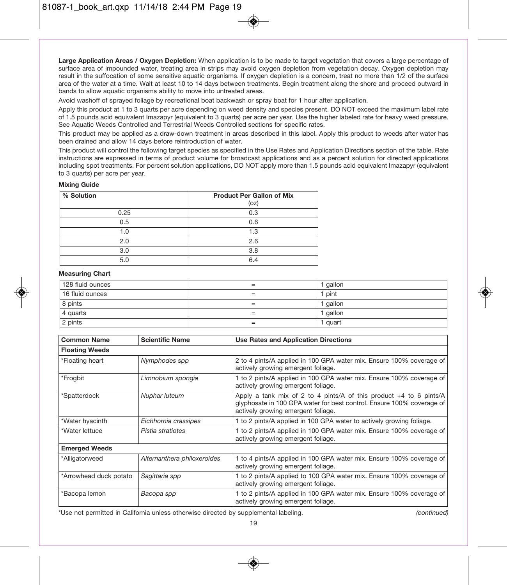**Large Application Areas / Oxygen Depletion:** When application is to be made to target vegetation that covers a large percentage of surface area of impounded water, treating area in strips may avoid oxygen depletion from vegetation decay. Oxygen depletion may result in the suffocation of some sensitive aquatic organisms. If oxygen depletion is a concern, treat no more than 1/2 of the surface area of the water at a time. Wait at least 10 to 14 days between treatments. Begin treatment along the shore and proceed outward in bands to allow aquatic organisms ability to move into untreated areas.

Avoid washoff of sprayed foliage by recreational boat backwash or spray boat for 1 hour after application.

Apply this product at 1 to 3 quarts per acre depending on weed density and species present. DO NOT exceed the maximum label rate of 1.5 pounds acid equivalent Imazapyr (equivalent to 3 quarts) per acre per year. Use the higher labeled rate for heavy weed pressure. See Aquatic Weeds Controlled and Terrestrial Weeds Controlled sections for specific rates.

This product may be applied as a draw-down treatment in areas described in this label. Apply this product to weeds after water has been drained and allow 14 days before reintroduction of water.

This product will control the following target species as specified in the Use Rates and Application Directions section of the table. Rate instructions are expressed in terms of product volume for broadcast applications and as a percent solution for directed applications including spot treatments. For percent solution applications, DO NOT apply more than 1.5 pounds acid equivalent Imazapyr (equivalent to 3 quarts) per acre per year.

#### **Mixing Guide**

| % Solution | <b>Product Per Gallon of Mix</b> |
|------------|----------------------------------|
|            | (oz)                             |
| 0.25       | 0.3                              |
| 0.5        | 0.6                              |
| 1.0        | 1.3                              |
| 2.0        | 2.6                              |
| 3.0        | 3.8                              |
| 5.0        | 6.4                              |

#### **Measuring Chart**

| 128 fluid ounces | gallon   |
|------------------|----------|
| 16 fluid ounces  | 1 pint   |
| 8 pints          | gallon   |
| 4 quarts         | I gallon |
| 2 pints          | l quart  |

| <b>Common Name</b>     | <b>Scientific Name</b>      | Use Rates and Application Directions                                                                                                                                                |
|------------------------|-----------------------------|-------------------------------------------------------------------------------------------------------------------------------------------------------------------------------------|
| <b>Floating Weeds</b>  |                             |                                                                                                                                                                                     |
| *Floating heart        | Nymphodes spp               | 2 to 4 pints/A applied in 100 GPA water mix. Ensure 100% coverage of<br>actively growing emergent foliage.                                                                          |
| *Frogbit               | Limnobium spongia           | 1 to 2 pints/A applied in 100 GPA water mix. Ensure 100% coverage of<br>actively growing emergent foliage.                                                                          |
| *Spatterdock           | Nuphar luteum               | Apply a tank mix of 2 to 4 pints/A of this product $+4$ to 6 pints/A<br>glyphosate in 100 GPA water for best control. Ensure 100% coverage of<br>actively growing emergent foliage. |
| *Water hyacinth        | Eichhornia crassipes        | 1 to 2 pints/A applied in 100 GPA water to actively growing foliage.                                                                                                                |
| *Water lettuce         | Pistia stratiotes           | 1 to 2 pints/A applied in 100 GPA water mix. Ensure 100% coverage of<br>actively growing emergent foliage.                                                                          |
| <b>Emerged Weeds</b>   |                             |                                                                                                                                                                                     |
| *Alligatorweed         | Alternanthera philoxeroides | 1 to 4 pints/A applied in 100 GPA water mix. Ensure 100% coverage of<br>actively growing emergent foliage.                                                                          |
| *Arrowhead duck potato | Sagittaria spp              | 1 to 2 pints/A applied to 100 GPA water mix. Ensure 100% coverage of<br>actively growing emergent foliage.                                                                          |
| *Bacopa lemon          | Bacopa spp                  | 1 to 2 pints/A applied in 100 GPA water mix. Ensure 100% coverage of<br>actively growing emergent foliage.                                                                          |

\*Use not permitted in California unless otherwise directed by supplemental labeling. (continued)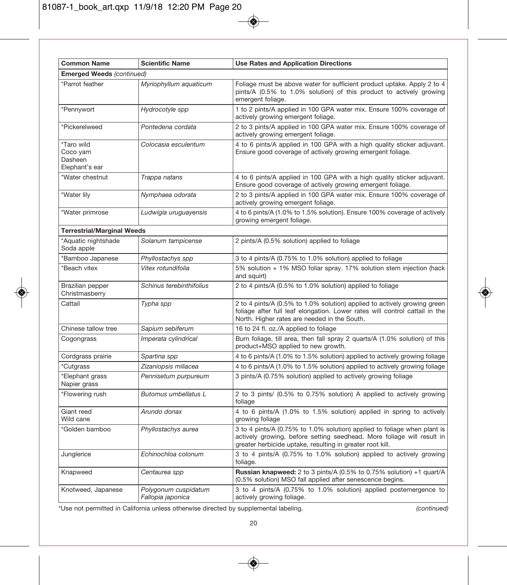| <b>Common Name</b>                                  | <b>Scientific Name</b>                    | <b>Use Rates and Application Directions</b>                                                                                                                                                                     |
|-----------------------------------------------------|-------------------------------------------|-----------------------------------------------------------------------------------------------------------------------------------------------------------------------------------------------------------------|
| <b>Emerged Weeds (continued)</b>                    |                                           |                                                                                                                                                                                                                 |
| *Parrot feather                                     | Myriophyllum aquaticum                    | Foliage must be above water for sufficient product uptake. Apply 2 to 4<br>pints/A (0.5% to 1.0% solution) of this product to actively growing<br>emergent foliage.                                             |
| *Pennywort                                          | Hydrocotyle spp                           | 1 to 2 pints/A applied in 100 GPA water mix. Ensure 100% coverage of<br>actively growing emergent foliage.                                                                                                      |
| *Pickerelweed                                       | Pontedena cordata                         | 2 to 3 pints/A applied in 100 GPA water mix. Ensure 100% coverage of<br>actively growing emergent foliage.                                                                                                      |
| *Taro wild<br>Coco yam<br>Dasheen<br>Elephant's ear | Colocasia esculentum                      | 4 to 6 pints/A applied in 100 GPA with a high quality sticker adjuvant.<br>Ensure good coverage of actively growing emergent foliage.                                                                           |
| *Water chestnut                                     | Trappa natans                             | 4 to 6 pints/A applied in 100 GPA with a high quality sticker adjuvant.<br>Ensure good coverage of actively growing emergent foliage.                                                                           |
| *Water lily                                         | Nymphaea odorata                          | 2 to 3 pints/A applied in 100 GPA water mix. Ensure 100% coverage of<br>actively growing emergent foliage.                                                                                                      |
| *Water primrose                                     | Ludwigia uruguayensis                     | 4 to 6 pints/A (1.0% to 1.5% solution). Ensure 100% coverage of actively<br>growing emergent foliage.                                                                                                           |
| <b>Terrestrial/Marginal Weeds</b>                   |                                           |                                                                                                                                                                                                                 |
| *Aquatic nightshade<br>Soda apple                   | Solanum tampicense                        | 2 pints/A (0.5% solution) applied to foliage                                                                                                                                                                    |
| *Bamboo Japanese                                    | Phyllostachys spp                         | 3 to 4 pints/A (0.75% to 1.0% solution) applied to foliage                                                                                                                                                      |
| *Beach vitex                                        | Vitex rotundifolia                        | 5% solution + 1% MSO foliar spray. 17% solution stem injection (hack<br>and squirt)                                                                                                                             |
| Brazilian pepper<br>Christmasberry                  | Schinus terebinthifolius                  | 2 to 4 pints/A (0.5% to 1.0% solution) applied to foliage                                                                                                                                                       |
| Cattail                                             | Typha spp                                 | 2 to 4 pints/A (0.5% to 1.0% solution) applied to actively growing green<br>foliage after full leaf elongation. Lower rates will control cattail in the<br>North. Higher rates are needed in the South.         |
| Chinese tallow tree                                 | Sapium sebiferum                          | 16 to 24 fl. oz./A applied to foliage                                                                                                                                                                           |
| Cogongrass                                          | Imperata cylindrical                      | Burn foliage, till area, then fall spray 2 quarts/A (1.0% solution) of this<br>product+MSO applied to new growth.                                                                                               |
| Cordgrass prairie                                   | Spartina spp                              | 4 to 6 pints/A (1.0% to 1.5% solution) applied to actively growing foliage                                                                                                                                      |
| *Cutgrass                                           | Zizaniopsis miliacea                      | 4 to 6 pints/A (1.0% to 1.5% solution) applied to actively growing foliage                                                                                                                                      |
| *Elephant grass<br>Napier grass                     | Pennisetum purpureum                      | 3 pints/A (0.75% solution) applied to actively growing foliage                                                                                                                                                  |
| *Flowering rush                                     | Butomus umbellatus L                      | 2 to 3 pints/ (0.5% to 0.75% solution) A applied to actively growing<br>foliage                                                                                                                                 |
| Giant reed<br>Wild cane                             | Arundo donax                              | 4 to 6 pints/A (1.0% to 1.5% solution) applied in spring to actively<br>growing foliage                                                                                                                         |
| *Golden bamboo                                      | Phyllostachys aurea                       | 3 to 4 pints/A (0.75% to 1.0% solution) applied to foliage when plant is<br>actively growing, before setting seedhead. More foliage will result in<br>greater herbicide uptake, resulting in greater root kill. |
| Junglerice                                          | Echinochloa colonum                       | 3 to 4 pints/A (0.75% to 1.0% solution) applied to actively growing<br>foliage.                                                                                                                                 |
| Knapweed                                            | Centaurea spp                             | Russian knapweed: 2 to 3 pints/A (0.5% to 0.75% solution) +1 quart/A<br>(0.5% solution) MSO fall applied after senescence begins.                                                                               |
| Knotweed, Japanese                                  | Polygonum cuspidatum<br>Fallopia japonica | 3 to 4 pints/A (0.75% to 1.0% solution) applied postemergence to<br>actively growing foliage.                                                                                                                   |

◈

\*Use not permitted in California unless otherwise directed by supplemental labeling. (continued)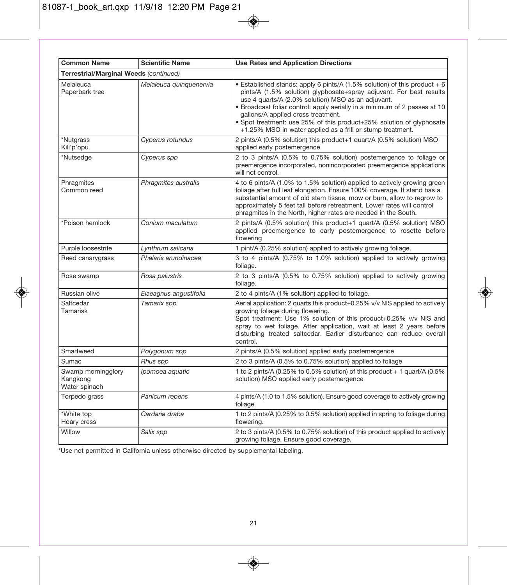| <b>Common Name</b>                              | <b>Scientific Name</b>  | <b>Use Rates and Application Directions</b>                                                                                                                                                                                                                                                                                                                                                                                                                       |
|-------------------------------------------------|-------------------------|-------------------------------------------------------------------------------------------------------------------------------------------------------------------------------------------------------------------------------------------------------------------------------------------------------------------------------------------------------------------------------------------------------------------------------------------------------------------|
| Terrestrial/Marginal Weeds (continued)          |                         |                                                                                                                                                                                                                                                                                                                                                                                                                                                                   |
| Melaleuca<br>Paperbark tree                     | Melaleuca quinquenervia | • Established stands: apply 6 pints/A (1.5% solution) of this product $+ 6$<br>pints/A (1.5% solution) glyphosate+spray adjuvant. For best results<br>use 4 quarts/A (2.0% solution) MSO as an adjuvant.<br>. Broadcast foliar control: apply aerially in a minimum of 2 passes at 10<br>gallons/A applied cross treatment.<br>. Spot treatment: use 25% of this product+25% solution of glyphosate<br>+1.25% MSO in water applied as a frill or stump treatment. |
| *Nutgrass<br>Kili'p'opu                         | Cyperus rotundus        | 2 pints/A (0.5% solution) this product+1 quart/A (0.5% solution) MSO<br>applied early postemergence.                                                                                                                                                                                                                                                                                                                                                              |
| *Nutsedge                                       | Cyperus spp             | 2 to 3 pints/A (0.5% to 0.75% solution) postemergence to foliage or<br>preemergence incorporated, nonincorporated preemergence applications<br>will not control.                                                                                                                                                                                                                                                                                                  |
| Phragmites<br>Common reed                       | Phragmites australis    | 4 to 6 pints/A (1.0% to 1.5% solution) applied to actively growing green<br>foliage after full leaf elongation. Ensure 100% coverage. If stand has a<br>substantial amount of old stem tissue, mow or burn, allow to regrow to<br>approximately 5 feet tall before retreatment. Lower rates will control<br>phragmites in the North, higher rates are needed in the South.                                                                                        |
| *Poison hemlock                                 | Conium maculatum        | 2 pints/A (0.5% solution) this product+1 quart/A (0.5% solution) MSO<br>applied preemergence to early postemergence to rosette before<br>flowering                                                                                                                                                                                                                                                                                                                |
| Purple loosestrife                              | Lynthrum salicana       | 1 pint/A (0.25% solution) applied to actively growing foliage.                                                                                                                                                                                                                                                                                                                                                                                                    |
| Reed canarygrass                                | Phalaris arundinacea    | 3 to 4 pints/A (0.75% to 1.0% solution) applied to actively growing<br>foliage.                                                                                                                                                                                                                                                                                                                                                                                   |
| Rose swamp                                      | Rosa palustris          | 2 to 3 pints/A (0.5% to 0.75% solution) applied to actively growing<br>foliage.                                                                                                                                                                                                                                                                                                                                                                                   |
| Russian olive                                   | Elaeagnus angustifolia  | 2 to 4 pints/A (1% solution) applied to foliage.                                                                                                                                                                                                                                                                                                                                                                                                                  |
| Saltcedar<br>Tamarisk                           | Tamarix spp             | Aerial application: 2 quarts this product+0.25% v/v NIS applied to actively<br>growing foliage during flowering.<br>Spot treatment: Use 1% solution of this product+0.25% v/v NIS and<br>spray to wet foliage. After application, wait at least 2 years before<br>disturbing treated saltcedar. Earlier disturbance can reduce overall<br>control.                                                                                                                |
| Smartweed                                       | Polygonum spp           | 2 pints/A (0.5% solution) applied early postemergence                                                                                                                                                                                                                                                                                                                                                                                                             |
| Sumac                                           | Rhus spp                | 2 to 3 pints/A (0.5% to 0.75% solution) applied to foliage                                                                                                                                                                                                                                                                                                                                                                                                        |
| Swamp morningglory<br>Kangkong<br>Water spinach | Ipomoea aquatic         | 1 to 2 pints/A (0.25% to 0.5% solution) of this product $+$ 1 quart/A (0.5%<br>solution) MSO applied early postemergence                                                                                                                                                                                                                                                                                                                                          |
| Torpedo grass                                   | Panicum repens          | 4 pints/A (1.0 to 1.5% solution). Ensure good coverage to actively growing<br>foliage.                                                                                                                                                                                                                                                                                                                                                                            |
| *White top<br>Hoary cress                       | Cardaria draba          | 1 to 2 pints/A (0.25% to 0.5% solution) applied in spring to foliage during<br>flowering.                                                                                                                                                                                                                                                                                                                                                                         |
| Willow                                          | Salix spp               | 2 to 3 pints/A (0.5% to 0.75% solution) of this product applied to actively<br>growing foliage. Ensure good coverage.                                                                                                                                                                                                                                                                                                                                             |

\*Use not permitted in California unless otherwise directed by supplemental labeling.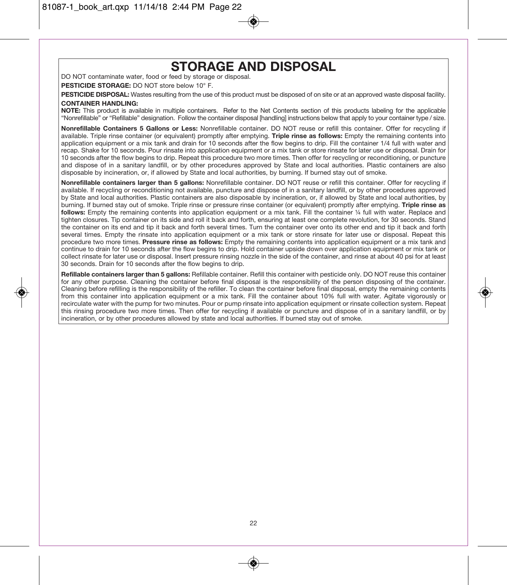## **STORAGE AND DISPOSAL**

DO NOT contaminate water, food or feed by storage or disposal.

**PESTICIDE STORAGE:** DO NOT store below 10° F.

PESTICIDE DISPOSAL: Wastes resulting from the use of this product must be disposed of on site or at an approved waste disposal facility. **CONTAINER HANDLING:** 

**NOTE:** This product is available in multiple containers. Refer to the Net Contents section of this products labeling for the applicable "Nonrefillable" or "Refillable" designation. Follow the container disposal [handling] instructions below that apply to your container type / size.

**Nonrefillable Containers 5 Gallons or Less:** Nonrefillable container. DO NOT reuse or refill this container. Offer for recycling if available. Triple rinse container (or equivalent) promptly after emptying. **Triple rinse as follows:** Empty the remaining contents into application equipment or a mix tank and drain for 10 seconds after the flow begins to drip. Fill the container 1/4 full with water and recap. Shake for 10 seconds. Pour rinsate into application equipment or a mix tank or store rinsate for later use or disposal. Drain for 10 seconds after the flow begins to drip. Repeat this procedure two more times. Then offer for recycling or reconditioning, or puncture and dispose of in a sanitary landfill, or by other procedures approved by State and local authorities. Plastic containers are also disposable by incineration, or, if allowed by State and local authorities, by burning. If burned stay out of smoke.

**Nonrefillable containers larger than 5 gallons:** Nonrefillable container. DO NOT reuse or refill this container. Offer for recycling if available. If recycling or reconditioning not available, puncture and dispose of in a sanitary landfill, or by other procedures approved by State and local authorities. Plastic containers are also disposable by incineration, or, if allowed by State and local authorities, by burning. If burned stay out of smoke. Triple rinse or pressure rinse container (or equivalent) promptly after emptying. **Triple rinse as**  follows: Empty the remaining contents into application equipment or a mix tank. Fill the container 1/4 full with water. Replace and tighten closures. Tip container on its side and roll it back and forth, ensuring at least one complete revolution, for 30 seconds. Stand the container on its end and tip it back and forth several times. Turn the container over onto its other end and tip it back and forth several times. Empty the rinsate into application equipment or a mix tank or store rinsate for later use or disposal. Repeat this procedure two more times. **Pressure rinse as follows:** Empty the remaining contents into application equipment or a mix tank and continue to drain for 10 seconds after the flow begins to drip. Hold container upside down over application equipment or mix tank or collect rinsate for later use or disposal. Insert pressure rinsing nozzle in the side of the container, and rinse at about 40 psi for at least 30 seconds. Drain for 10 seconds after the flow begins to drip.

**Refillable containers larger than 5 gallons:** Refillable container. Refill this container with pesticide only. DO NOT reuse this container for any other purpose. Cleaning the container before final disposal is the responsibility of the person disposing of the container. Cleaning before refilling is the responsibility of the refiller. To clean the container before final disposal, empty the remaining contents from this container into application equipment or a mix tank. Fill the container about 10% full with water. Agitate vigorously or recirculate water with the pump for two minutes. Pour or pump rinsate into application equipment or rinsate collection system. Repeat this rinsing procedure two more times. Then offer for recycling if available or puncture and dispose of in a sanitary landfill, or by incineration, or by other procedures allowed by state and local authorities. If burned stay out of smoke.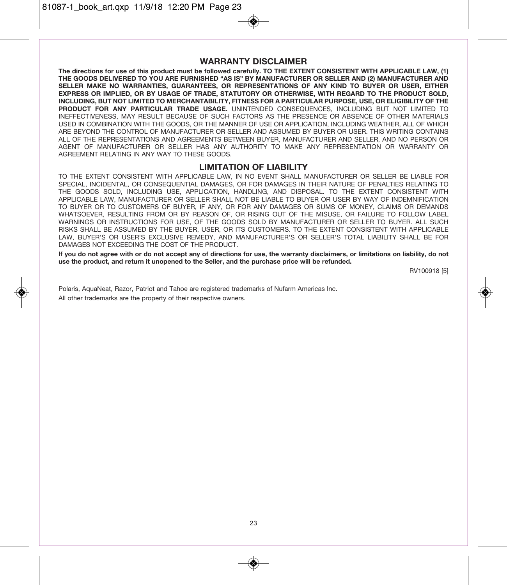81087-1\_book\_art.qxp 11/9/18 12:20 PM Page 23

### **WARRANTY DISCLAIMER**

**The directions for use of this product must be followed carefully. TO THE EXTENT CONSISTENT WITH APPLICABLE LAW, (1) THE GOODS DELIVERED TO YOU ARE FURNISHED "AS IS" BY MANUFACTURER OR SELLER AND (2) MANUFACTURER AND SELLER MAKE NO WARRANTIES, GUARANTEES, OR REPRESENTATIONS OF ANY KIND TO BUYER OR USER, EITHER EXPRESS OR IMPLIED, OR BY USAGE OF TRADE, STATUTORY OR OTHERWISE, WITH REGARD TO THE PRODUCT SOLD, INCLUDING, BUT NOT LIMITED TO MERCHANTABILITY, FITNESS FOR A PARTICULAR PURPOSE, USE, OR ELIGIBILITY OF THE PRODUCT FOR ANY PARTICULAR TRADE USAGE.** UNINTENDED CONSEQUENCES, INCLUDING BUT NOT LIMITED TO INEFFECTIVENESS, MAY RESULT BECAUSE OF SUCH FACTORS AS THE PRESENCE OR ABSENCE OF OTHER MATERIALS USED IN COMBINATION WITH THE GOODS, OR THE MANNER OF USE OR APPLICATION, INCLUDING WEATHER, ALL OF WHICH ARE BEYOND THE CONTROL OF MANUFACTURER OR SELLER AND ASSUMED BY BUYER OR USER. THIS WRITING CONTAINS ALL OF THE REPRESENTATIONS AND AGREEMENTS BETWEEN BUYER, MANUFACTURER AND SELLER, AND NO PERSON OR AGENT OF MANUFACTURER OR SELLER HAS ANY AUTHORITY TO MAKE ANY REPRESENTATION OR WARRANTY OR AGREEMENT RELATING IN ANY WAY TO THESE GOODS.

#### **LIMITATION OF LIABILITY**

TO THE EXTENT CONSISTENT WITH APPLICABLE LAW, IN NO EVENT SHALL MANUFACTURER OR SELLER BE LIABLE FOR SPECIAL, INCIDENTAL, OR CONSEQUENTIAL DAMAGES, OR FOR DAMAGES IN THEIR NATURE OF PENALTIES RELATING TO THE GOODS SOLD, INCLUDING USE, APPLICATION, HANDLING, AND DISPOSAL. TO THE EXTENT CONSISTENT WITH APPLICABLE LAW, MANUFACTURER OR SELLER SHALL NOT BE LIABLE TO BUYER OR USER BY WAY OF INDEMNIFICATION TO BUYER OR TO CUSTOMERS OF BUYER, IF ANY, OR FOR ANY DAMAGES OR SUMS OF MONEY, CLAIMS OR DEMANDS WHATSOEVER, RESULTING FROM OR BY REASON OF, OR RISING OUT OF THE MISUSE, OR FAILURE TO FOLLOW LABEL WARNINGS OR INSTRUCTIONS FOR USE, OF THE GOODS SOLD BY MANUFACTURER OR SELLER TO BUYER. ALL SUCH RISKS SHALL BE ASSUMED BY THE BUYER, USER, OR ITS CUSTOMERS. TO THE EXTENT CONSISTENT WITH APPLICABLE LAW, BUYER'S OR USER'S EXCLUSIVE REMEDY, AND MANUFACTURER'S OR SELLER'S TOTAL LIABILITY SHALL BE FOR DAMAGES NOT EXCEEDING THE COST OF THE PRODUCT.

**If you do not agree with or do not accept any of directions for use, the warranty disclaimers, or limitations on liability, do not use the product, and return it unopened to the Seller, and the purchase price will be refunded.** 

RV100918 [5]

Polaris, AquaNeat, Razor, Patriot and Tahoe are registered trademarks of Nufarm Americas Inc. All other trademarks are the property of their respective owners.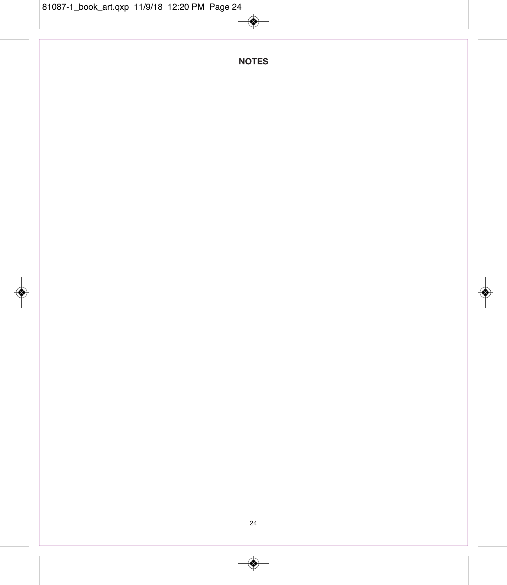♦

**NOTES**

◈

◈